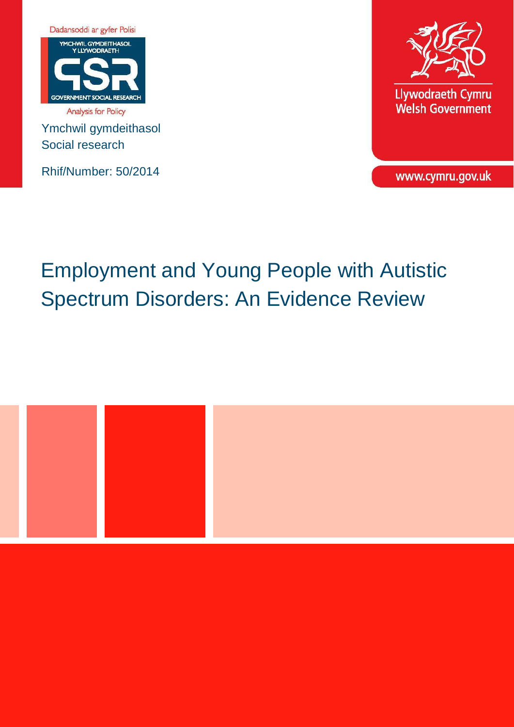

Ymchwil gymdeithasol Social research

Rhif/Number: 50/2014



www.cymru.gov.uk

# Employment and Young People with Autistic Spectrum Disorders: An Evidence Review

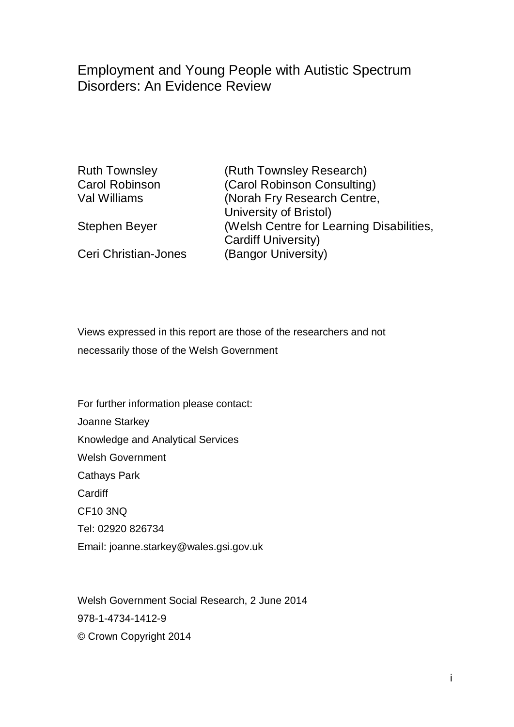# Employment and Young People with Autistic Spectrum Disorders: An Evidence Review

Ruth Townsley (Ruth Townsley Research) Carol Robinson (Carol Robinson Consulting) Val Williams (Norah Fry Research Centre, University of Bristol) Stephen Beyer (Welsh Centre for Learning Disabilities, Cardiff University) Ceri Christian-Jones (Bangor University)

Views expressed in this report are those of the researchers and not necessarily those of the Welsh Government

For further information please contact: Joanne Starkey Knowledge and Analytical Services Welsh Government Cathays Park **Cardiff** CF10 3NQ Tel: 02920 826734 Email: joanne.starkey@wales.gsi.gov.uk

Welsh Government Social Research, 2 June 2014 978-1-4734-1412-9 © Crown Copyright 2014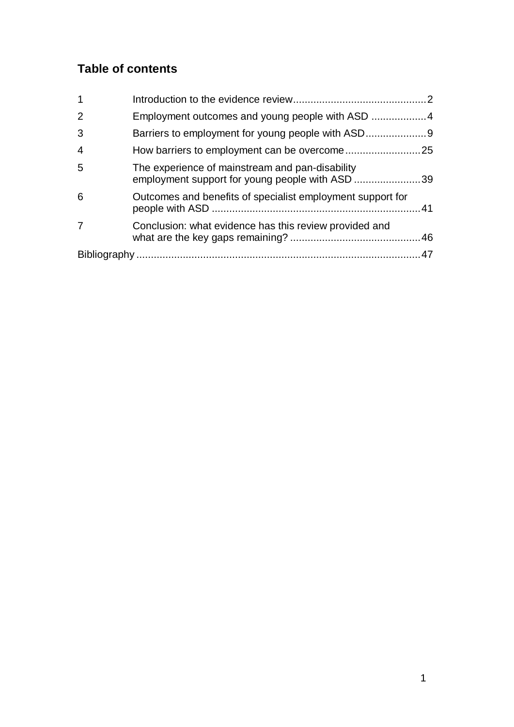# **Table of contents**

| $\mathbf 1$    |                                                                                                    |  |
|----------------|----------------------------------------------------------------------------------------------------|--|
| $\overline{2}$ |                                                                                                    |  |
| 3              |                                                                                                    |  |
| $\overline{4}$ |                                                                                                    |  |
| 5              | The experience of mainstream and pan-disability<br>employment support for young people with ASD 39 |  |
| 6              | Outcomes and benefits of specialist employment support for                                         |  |
| 7              | Conclusion: what evidence has this review provided and                                             |  |
|                |                                                                                                    |  |
|                |                                                                                                    |  |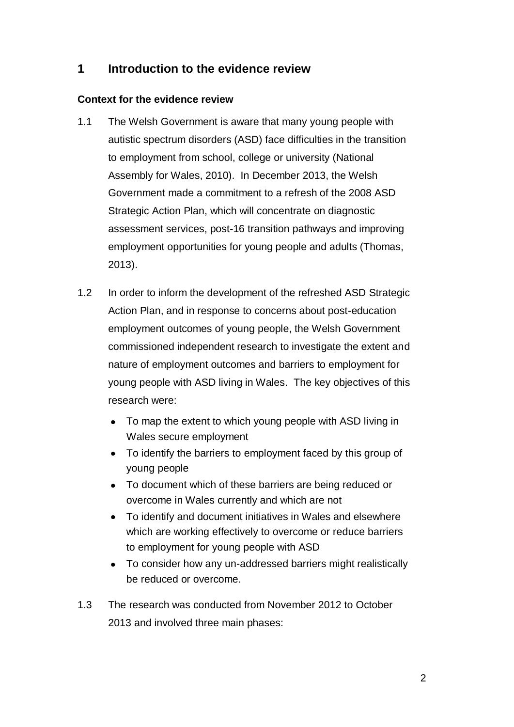## <span id="page-3-0"></span>**1 Introduction to the evidence review**

#### **Context for the evidence review**

- 1.1 The Welsh Government is aware that many young people with autistic spectrum disorders (ASD) face difficulties in the transition to employment from school, college or university (National Assembly for Wales, 2010). In December 2013, the Welsh Government made a commitment to a refresh of the 2008 ASD Strategic Action Plan, which will concentrate on diagnostic assessment services, post-16 transition pathways and improving employment opportunities for young people and adults (Thomas, 2013).
- 1.2 In order to inform the development of the refreshed ASD Strategic Action Plan, and in response to concerns about post-education employment outcomes of young people, the Welsh Government commissioned independent research to investigate the extent and nature of employment outcomes and barriers to employment for young people with ASD living in Wales. The key objectives of this research were:
	- To map the extent to which young people with ASD living in Wales secure employment
	- To identify the barriers to employment faced by this group of young people
	- To document which of these barriers are being reduced or overcome in Wales currently and which are not
	- To identify and document initiatives in Wales and elsewhere which are working effectively to overcome or reduce barriers to employment for young people with ASD
	- To consider how any un-addressed barriers might realistically be reduced or overcome.
- 1.3 The research was conducted from November 2012 to October 2013 and involved three main phases: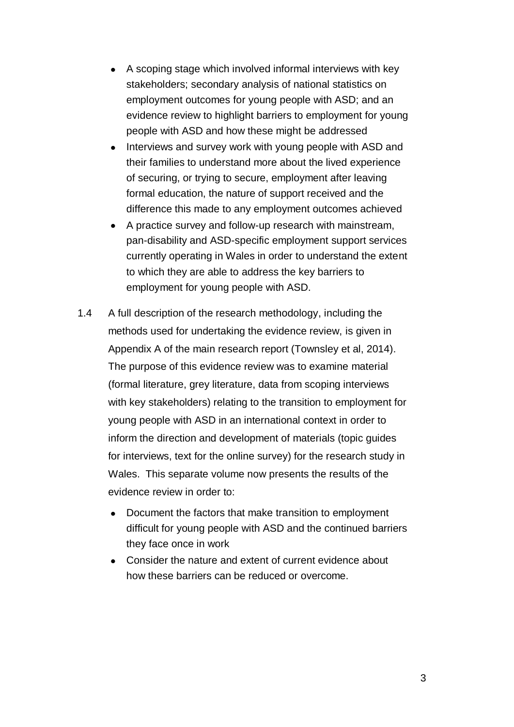- A scoping stage which involved informal interviews with key stakeholders; secondary analysis of national statistics on employment outcomes for young people with ASD; and an evidence review to highlight barriers to employment for young people with ASD and how these might be addressed
- Interviews and survey work with young people with ASD and their families to understand more about the lived experience of securing, or trying to secure, employment after leaving formal education, the nature of support received and the difference this made to any employment outcomes achieved
- A practice survey and follow-up research with mainstream, pan-disability and ASD-specific employment support services currently operating in Wales in order to understand the extent to which they are able to address the key barriers to employment for young people with ASD.
- 1.4 A full description of the research methodology, including the methods used for undertaking the evidence review, is given in Appendix A of the main research report (Townsley et al, 2014). The purpose of this evidence review was to examine material (formal literature, grey literature, data from scoping interviews with key stakeholders) relating to the transition to employment for young people with ASD in an international context in order to inform the direction and development of materials (topic guides for interviews, text for the online survey) for the research study in Wales. This separate volume now presents the results of the evidence review in order to:
	- Document the factors that make transition to employment difficult for young people with ASD and the continued barriers they face once in work
	- Consider the nature and extent of current evidence about how these barriers can be reduced or overcome.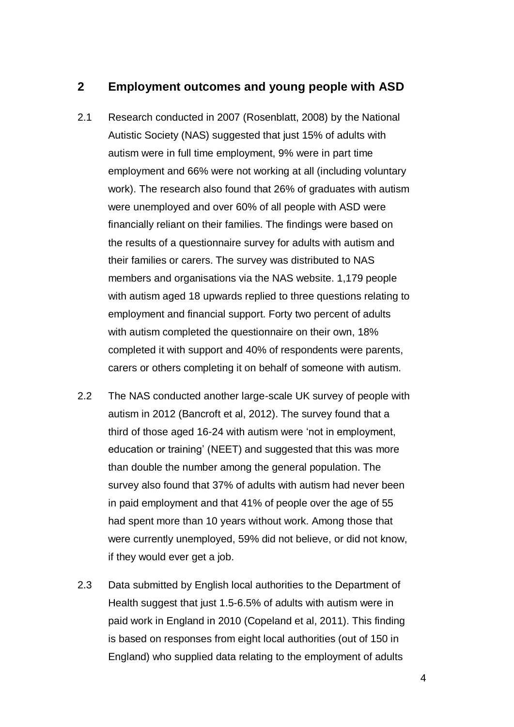## <span id="page-5-0"></span>**2 Employment outcomes and young people with ASD**

- 2.1 Research conducted in 2007 (Rosenblatt, 2008) by the National Autistic Society (NAS) suggested that just 15% of adults with autism were in full time employment, 9% were in part time employment and 66% were not working at all (including voluntary work). The research also found that 26% of graduates with autism were unemployed and over 60% of all people with ASD were financially reliant on their families. The findings were based on the results of a questionnaire survey for adults with autism and their families or carers. The survey was distributed to NAS members and organisations via the NAS website. 1,179 people with autism aged 18 upwards replied to three questions relating to employment and financial support. Forty two percent of adults with autism completed the questionnaire on their own, 18% completed it with support and 40% of respondents were parents, carers or others completing it on behalf of someone with autism.
- 2.2 The NAS conducted another large-scale UK survey of people with autism in 2012 (Bancroft et al, 2012). The survey found that a third of those aged 16-24 with autism were 'not in employment, education or training' (NEET) and suggested that this was more than double the number among the general population. The survey also found that 37% of adults with autism had never been in paid employment and that 41% of people over the age of 55 had spent more than 10 years without work. Among those that were currently unemployed, 59% did not believe, or did not know, if they would ever get a job.
- 2.3 Data submitted by English local authorities to the Department of Health suggest that just 1.5-6.5% of adults with autism were in paid work in England in 2010 (Copeland et al, 2011). This finding is based on responses from eight local authorities (out of 150 in England) who supplied data relating to the employment of adults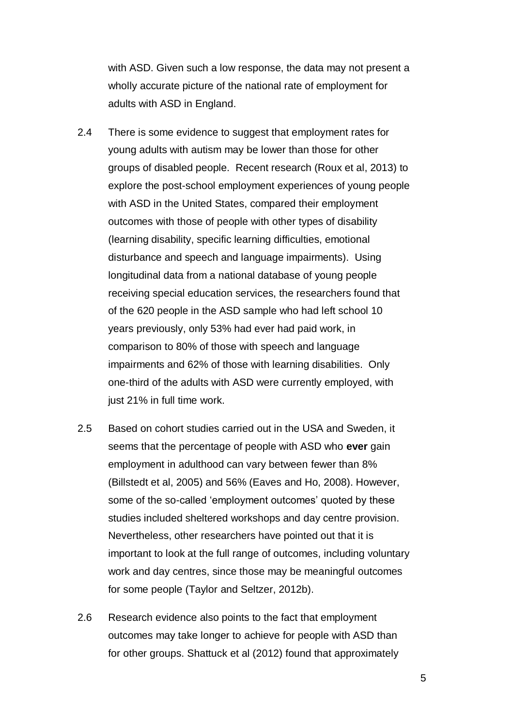with ASD. Given such a low response, the data may not present a wholly accurate picture of the national rate of employment for adults with ASD in England.

- 2.4 There is some evidence to suggest that employment rates for young adults with autism may be lower than those for other groups of disabled people. Recent research (Roux et al, 2013) to explore the post-school employment experiences of young people with ASD in the United States, compared their employment outcomes with those of people with other types of disability (learning disability, specific learning difficulties, emotional disturbance and speech and language impairments). Using longitudinal data from a national database of young people receiving special education services, the researchers found that of the 620 people in the ASD sample who had left school 10 years previously, only 53% had ever had paid work, in comparison to 80% of those with speech and language impairments and 62% of those with learning disabilities. Only one-third of the adults with ASD were currently employed, with just 21% in full time work.
- 2.5 Based on cohort studies carried out in the USA and Sweden, it seems that the percentage of people with ASD who **ever** gain employment in adulthood can vary between fewer than 8% (Billstedt et al, 2005) and 56% (Eaves and Ho, 2008). However, some of the so-called 'employment outcomes' quoted by these studies included sheltered workshops and day centre provision. Nevertheless, other researchers have pointed out that it is important to look at the full range of outcomes, including voluntary work and day centres, since those may be meaningful outcomes for some people (Taylor and Seltzer, 2012b).
- 2.6 Research evidence also points to the fact that employment outcomes may take longer to achieve for people with ASD than for other groups. Shattuck et al (2012) found that approximately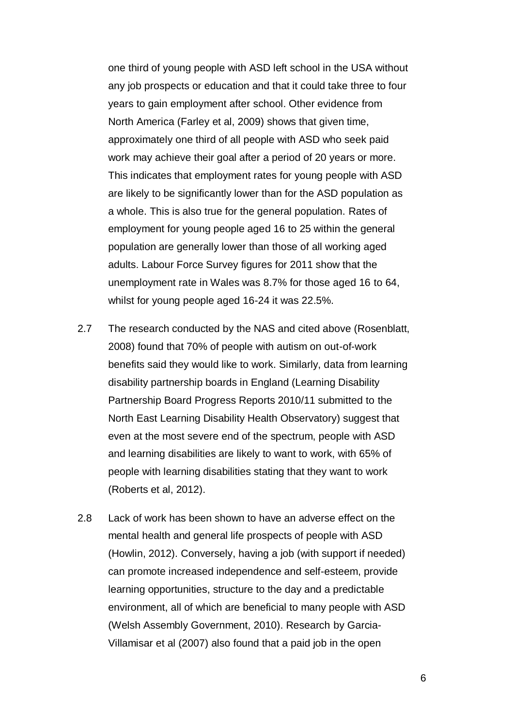one third of young people with ASD left school in the USA without any job prospects or education and that it could take three to four years to gain employment after school. Other evidence from North America (Farley et al, 2009) shows that given time, approximately one third of all people with ASD who seek paid work may achieve their goal after a period of 20 years or more. This indicates that employment rates for young people with ASD are likely to be significantly lower than for the ASD population as a whole. This is also true for the general population. Rates of employment for young people aged 16 to 25 within the general population are generally lower than those of all working aged adults. Labour Force Survey figures for 2011 show that the unemployment rate in Wales was 8.7% for those aged 16 to 64, whilst for young people aged 16-24 it was 22.5%.

- 2.7 The research conducted by the NAS and cited above (Rosenblatt, 2008) found that 70% of people with autism on out-of-work benefits said they would like to work. Similarly, data from learning disability partnership boards in England (Learning Disability Partnership Board Progress Reports 2010/11 submitted to the North East Learning Disability Health Observatory) suggest that even at the most severe end of the spectrum, people with ASD and learning disabilities are likely to want to work, with 65% of people with learning disabilities stating that they want to work (Roberts et al, 2012).
- 2.8 Lack of work has been shown to have an adverse effect on the mental health and general life prospects of people with ASD (Howlin, 2012). Conversely, having a job (with support if needed) can promote increased independence and self-esteem, provide learning opportunities, structure to the day and a predictable environment, all of which are beneficial to many people with ASD (Welsh Assembly Government, 2010). Research by Garcia-Villamisar et al (2007) also found that a paid job in the open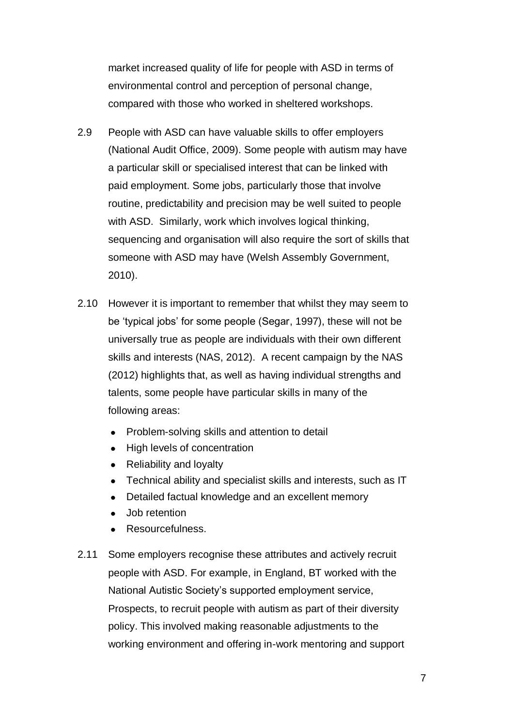market increased quality of life for people with ASD in terms of environmental control and perception of personal change, compared with those who worked in sheltered workshops.

- 2.9 People with ASD can have valuable skills to offer employers (National Audit Office, 2009). Some people with autism may have a particular skill or specialised interest that can be linked with paid employment. Some jobs, particularly those that involve routine, predictability and precision may be well suited to people with ASD. Similarly, work which involves logical thinking, sequencing and organisation will also require the sort of skills that someone with ASD may have (Welsh Assembly Government, 2010).
- 2.10 However it is important to remember that whilst they may seem to be 'typical jobs' for some people (Segar, 1997), these will not be universally true as people are individuals with their own different skills and interests (NAS, 2012). A recent campaign by the NAS (2012) highlights that, as well as having individual strengths and talents, some people have particular skills in many of the following areas:
	- Problem-solving skills and attention to detail
	- High levels of concentration
	- Reliability and loyalty
	- Technical ability and specialist skills and interests, such as IT
	- Detailed factual knowledge and an excellent memory
	- Job retention
	- Resourcefulness.
- 2.11 Some employers recognise these attributes and actively recruit people with ASD. For example, in England, BT worked with the National Autistic Society's supported employment service, Prospects, to recruit people with autism as part of their diversity policy. This involved making reasonable adjustments to the working environment and offering in-work mentoring and support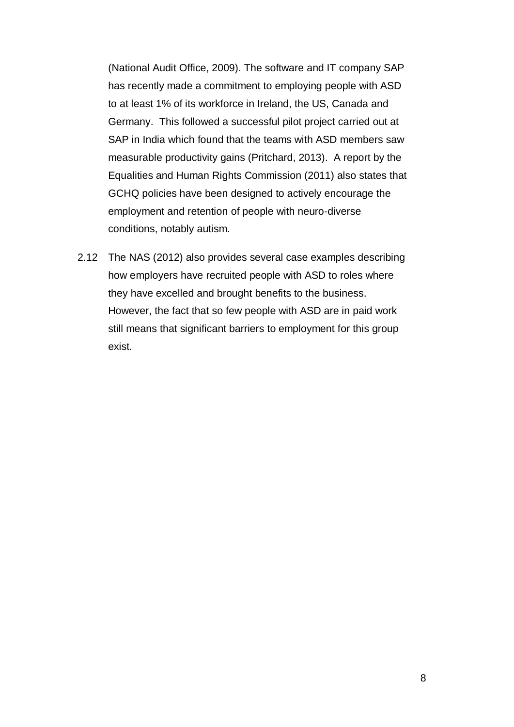(National Audit Office, 2009). The software and IT company SAP has recently made a commitment to employing people with ASD to at least 1% of its workforce in Ireland, the US, Canada and Germany. This followed a successful pilot project carried out at SAP in India which found that the teams with ASD members saw measurable productivity gains (Pritchard, 2013). A report by the Equalities and Human Rights Commission (2011) also states that GCHQ policies have been designed to actively encourage the employment and retention of people with neuro-diverse conditions, notably autism.

2.12 The NAS (2012) also provides several case examples describing how employers have recruited people with ASD to roles where they have excelled and brought benefits to the business. However, the fact that so few people with ASD are in paid work still means that significant barriers to employment for this group exist.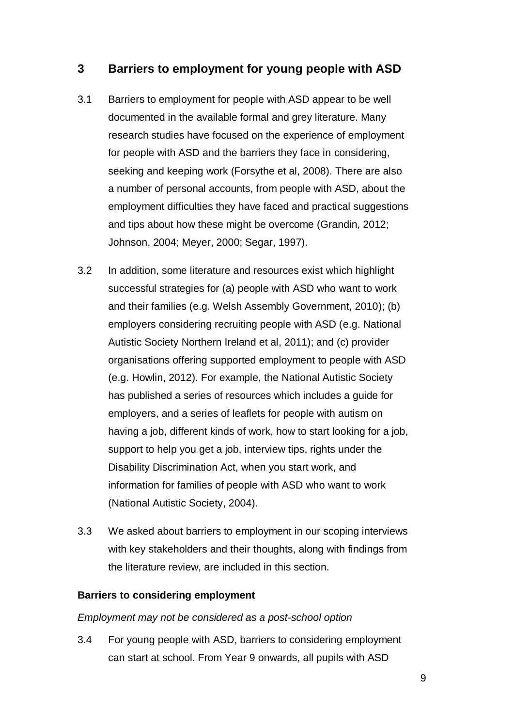## <span id="page-10-0"></span>**3 Barriers to employment for young people with ASD**

- 3.1 Barriers to employment for people with ASD appear to be well documented in the available formal and grey literature. Many research studies have focused on the experience of employment for people with ASD and the barriers they face in considering, seeking and keeping work (Forsythe et al, 2008). There are also a number of personal accounts, from people with ASD, about the employment difficulties they have faced and practical suggestions and tips about how these might be overcome (Grandin, 2012; Johnson, 2004; Meyer, 2000; Segar, 1997).
- 3.2 In addition, some literature and resources exist which highlight successful strategies for (a) people with ASD who want to work and their families (e.g. Welsh Assembly Government, 2010); (b) employers considering recruiting people with ASD (e.g. National Autistic Society Northern Ireland et al, 2011); and (c) provider organisations offering supported employment to people with ASD (e.g. Howlin, 2012). For example, the National Autistic Society has published a series of resources which includes a guide for employers, and a series of leaflets for people with autism on having a job, different kinds of work, how to start looking for a job, support to help you get a job, interview tips, rights under the Disability Discrimination Act, when you start work, and information for families of people with ASD who want to work (National Autistic Society, 2004).
- 3.3 We asked about barriers to employment in our scoping interviews with key stakeholders and their thoughts, along with findings from the literature review, are included in this section.

#### **Barriers to considering employment**

#### *Employment may not be considered as a post-school option*

3.4 For young people with ASD, barriers to considering employment can start at school. From Year 9 onwards, all pupils with ASD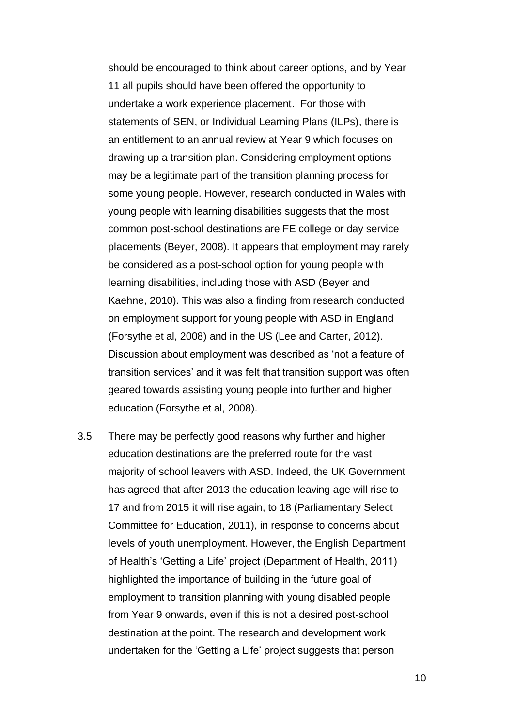should be encouraged to think about career options, and by Year 11 all pupils should have been offered the opportunity to undertake a work experience placement. For those with statements of SEN, or Individual Learning Plans (ILPs), there is an entitlement to an annual review at Year 9 which focuses on drawing up a transition plan. Considering employment options may be a legitimate part of the transition planning process for some young people. However, research conducted in Wales with young people with learning disabilities suggests that the most common post-school destinations are FE college or day service placements (Beyer, 2008). It appears that employment may rarely be considered as a post-school option for young people with learning disabilities, including those with ASD (Beyer and Kaehne, 2010). This was also a finding from research conducted on employment support for young people with ASD in England (Forsythe et al, 2008) and in the US (Lee and Carter, 2012). Discussion about employment was described as 'not a feature of transition services' and it was felt that transition support was often geared towards assisting young people into further and higher education (Forsythe et al, 2008).

3.5 There may be perfectly good reasons why further and higher education destinations are the preferred route for the vast majority of school leavers with ASD. Indeed, the UK Government has agreed that after 2013 the education leaving age will rise to 17 and from 2015 it will rise again, to 18 (Parliamentary Select Committee for Education, 2011), in response to concerns about levels of youth unemployment. However, the English Department of Health's 'Getting a Life' project (Department of Health, 2011) highlighted the importance of building in the future goal of employment to transition planning with young disabled people from Year 9 onwards, even if this is not a desired post-school destination at the point. The research and development work undertaken for the 'Getting a Life' project suggests that person

10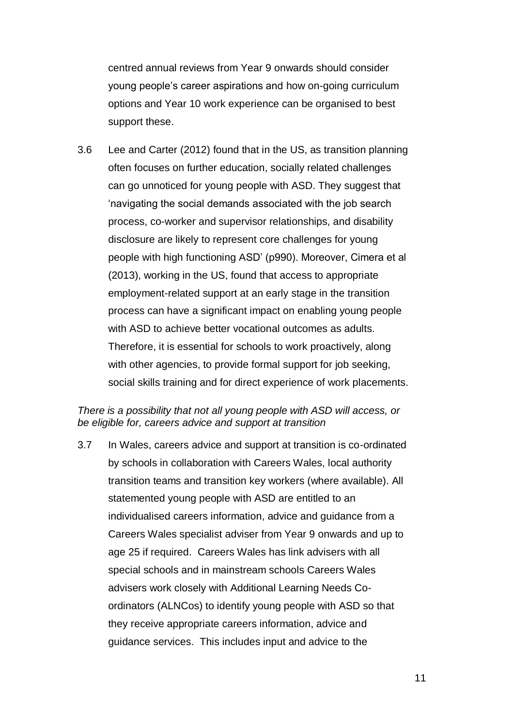centred annual reviews from Year 9 onwards should consider young people's career aspirations and how on-going curriculum options and Year 10 work experience can be organised to best support these.

3.6 Lee and Carter (2012) found that in the US, as transition planning often focuses on further education, socially related challenges can go unnoticed for young people with ASD. They suggest that 'navigating the social demands associated with the job search process, co-worker and supervisor relationships, and disability disclosure are likely to represent core challenges for young people with high functioning ASD' (p990). Moreover, Cimera et al (2013), working in the US, found that access to appropriate employment-related support at an early stage in the transition process can have a significant impact on enabling young people with ASD to achieve better vocational outcomes as adults. Therefore, it is essential for schools to work proactively, along with other agencies, to provide formal support for job seeking, social skills training and for direct experience of work placements.

#### *There is a possibility that not all young people with ASD will access, or be eligible for, careers advice and support at transition*

3.7 In Wales, careers advice and support at transition is co-ordinated by schools in collaboration with Careers Wales, local authority transition teams and transition key workers (where available). All statemented young people with ASD are entitled to an individualised careers information, advice and guidance from a Careers Wales specialist adviser from Year 9 onwards and up to age 25 if required. Careers Wales has link advisers with all special schools and in mainstream schools Careers Wales advisers work closely with Additional Learning Needs Coordinators (ALNCos) to identify young people with ASD so that they receive appropriate careers information, advice and guidance services. This includes input and advice to the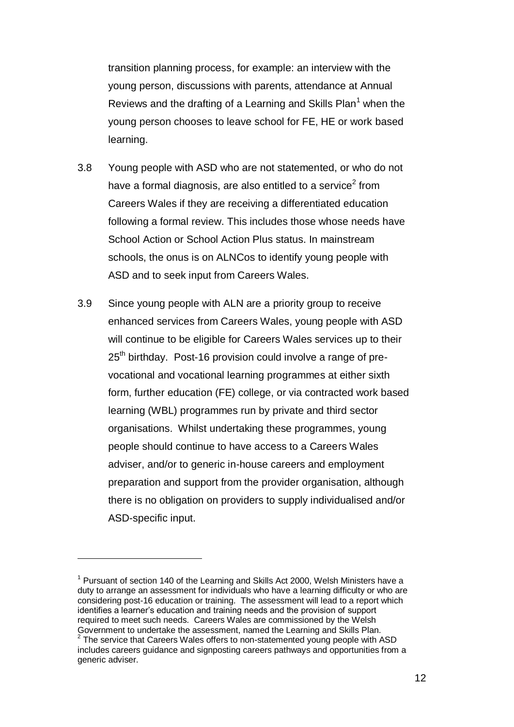transition planning process, for example: an interview with the young person, discussions with parents, attendance at Annual Reviews and the drafting of a Learning and Skills Plan<sup>1</sup> when the young person chooses to leave school for FE, HE or work based learning.

- 3.8 Young people with ASD who are not statemented, or who do not have a formal diagnosis, are also entitled to a service<sup>2</sup> from Careers Wales if they are receiving a differentiated education following a formal review. This includes those whose needs have School Action or School Action Plus status. In mainstream schools, the onus is on ALNCos to identify young people with ASD and to seek input from Careers Wales.
- 3.9 Since young people with ALN are a priority group to receive enhanced services from Careers Wales, young people with ASD will continue to be eligible for Careers Wales services up to their 25<sup>th</sup> birthday. Post-16 provision could involve a range of prevocational and vocational learning programmes at either sixth form, further education (FE) college, or via contracted work based learning (WBL) programmes run by private and third sector organisations. Whilst undertaking these programmes, young people should continue to have access to a Careers Wales adviser, and/or to generic in-house careers and employment preparation and support from the provider organisation, although there is no obligation on providers to supply individualised and/or ASD-specific input.

 $\overline{a}$ 

 $1$  Pursuant of section 140 of the Learning and Skills Act 2000, Welsh Ministers have a duty to arrange an assessment for individuals who have a learning difficulty or who are considering post-16 education or training. The assessment will lead to a report which identifies a learner's education and training needs and the provision of support required to meet such needs. Careers Wales are commissioned by the Welsh Government to undertake the assessment, named the Learning and Skills Plan.

 $2$  The service that Careers Wales offers to non-statemented young people with ASD includes careers guidance and signposting careers pathways and opportunities from a generic adviser.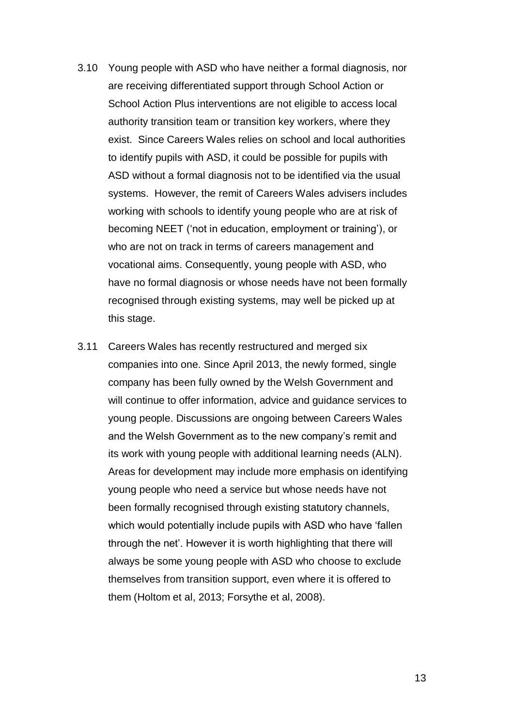- 3.10 Young people with ASD who have neither a formal diagnosis, nor are receiving differentiated support through School Action or School Action Plus interventions are not eligible to access local authority transition team or transition key workers, where they exist. Since Careers Wales relies on school and local authorities to identify pupils with ASD, it could be possible for pupils with ASD without a formal diagnosis not to be identified via the usual systems. However, the remit of Careers Wales advisers includes working with schools to identify young people who are at risk of becoming NEET ('not in education, employment or training'), or who are not on track in terms of careers management and vocational aims. Consequently, young people with ASD, who have no formal diagnosis or whose needs have not been formally recognised through existing systems, may well be picked up at this stage.
- 3.11 Careers Wales has recently restructured and merged six companies into one. Since April 2013, the newly formed, single company has been fully owned by the Welsh Government and will continue to offer information, advice and guidance services to young people. Discussions are ongoing between Careers Wales and the Welsh Government as to the new company's remit and its work with young people with additional learning needs (ALN). Areas for development may include more emphasis on identifying young people who need a service but whose needs have not been formally recognised through existing statutory channels, which would potentially include pupils with ASD who have 'fallen through the net'. However it is worth highlighting that there will always be some young people with ASD who choose to exclude themselves from transition support, even where it is offered to them (Holtom et al, 2013; Forsythe et al, 2008).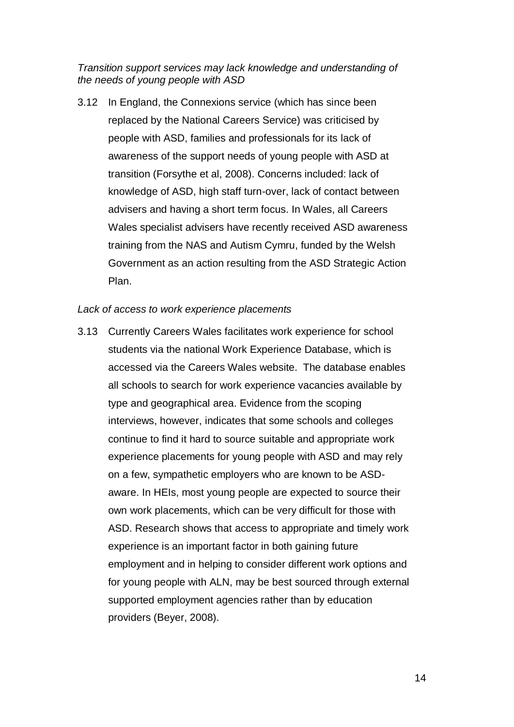*Transition support services may lack knowledge and understanding of the needs of young people with ASD*

3.12 In England, the Connexions service (which has since been replaced by the National Careers Service) was criticised by people with ASD, families and professionals for its lack of awareness of the support needs of young people with ASD at transition (Forsythe et al, 2008). Concerns included: lack of knowledge of ASD, high staff turn-over, lack of contact between advisers and having a short term focus. In Wales, all Careers Wales specialist advisers have recently received ASD awareness training from the NAS and Autism Cymru, funded by the Welsh Government as an action resulting from the ASD Strategic Action Plan.

#### *Lack of access to work experience placements*

3.13 Currently Careers Wales facilitates work experience for school students via the national Work Experience Database, which is accessed via the Careers Wales website. The database enables all schools to search for work experience vacancies available by type and geographical area. Evidence from the scoping interviews, however, indicates that some schools and colleges continue to find it hard to source suitable and appropriate work experience placements for young people with ASD and may rely on a few, sympathetic employers who are known to be ASDaware. In HEIs, most young people are expected to source their own work placements, which can be very difficult for those with ASD. Research shows that access to appropriate and timely work experience is an important factor in both gaining future employment and in helping to consider different work options and for young people with ALN, may be best sourced through external supported employment agencies rather than by education providers (Beyer, 2008).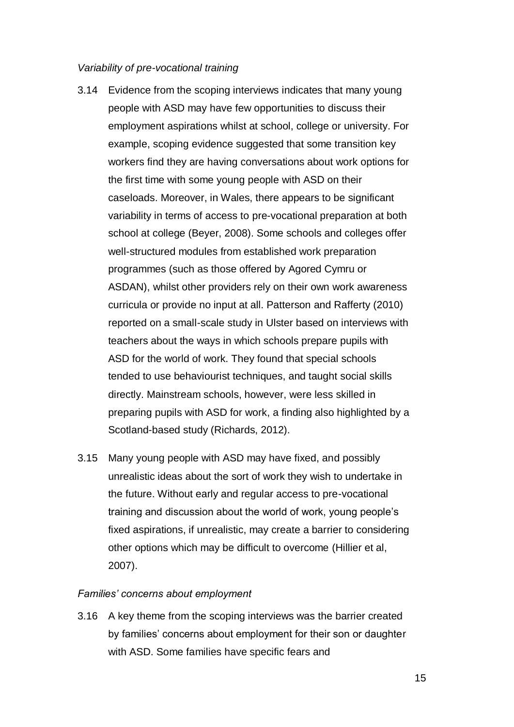#### *Variability of pre-vocational training*

- 3.14 Evidence from the scoping interviews indicates that many young people with ASD may have few opportunities to discuss their employment aspirations whilst at school, college or university. For example, scoping evidence suggested that some transition key workers find they are having conversations about work options for the first time with some young people with ASD on their caseloads. Moreover, in Wales, there appears to be significant variability in terms of access to pre-vocational preparation at both school at college (Beyer, 2008). Some schools and colleges offer well-structured modules from established work preparation programmes (such as those offered by Agored Cymru or ASDAN), whilst other providers rely on their own work awareness curricula or provide no input at all. Patterson and Rafferty (2010) reported on a small-scale study in Ulster based on interviews with teachers about the ways in which schools prepare pupils with ASD for the world of work. They found that special schools tended to use behaviourist techniques, and taught social skills directly. Mainstream schools, however, were less skilled in preparing pupils with ASD for work, a finding also highlighted by a Scotland-based study (Richards, 2012).
- 3.15 Many young people with ASD may have fixed, and possibly unrealistic ideas about the sort of work they wish to undertake in the future. Without early and regular access to pre-vocational training and discussion about the world of work, young people's fixed aspirations, if unrealistic, may create a barrier to considering other options which may be difficult to overcome (Hillier et al, 2007).

#### *Families' concerns about employment*

3.16 A key theme from the scoping interviews was the barrier created by families' concerns about employment for their son or daughter with ASD. Some families have specific fears and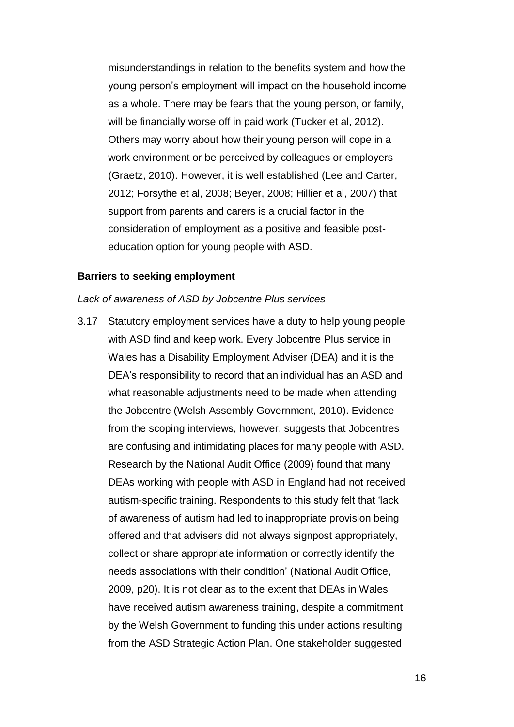misunderstandings in relation to the benefits system and how the young person's employment will impact on the household income as a whole. There may be fears that the young person, or family, will be financially worse off in paid work (Tucker et al, 2012). Others may worry about how their young person will cope in a work environment or be perceived by colleagues or employers (Graetz, 2010). However, it is well established (Lee and Carter, 2012; Forsythe et al, 2008; Beyer, 2008; Hillier et al, 2007) that support from parents and carers is a crucial factor in the consideration of employment as a positive and feasible posteducation option for young people with ASD.

#### **Barriers to seeking employment**

#### *Lack of awareness of ASD by Jobcentre Plus services*

3.17 Statutory employment services have a duty to help young people with ASD find and keep work. Every Jobcentre Plus service in Wales has a Disability Employment Adviser (DEA) and it is the DEA's responsibility to record that an individual has an ASD and what reasonable adjustments need to be made when attending the Jobcentre (Welsh Assembly Government, 2010). Evidence from the scoping interviews, however, suggests that Jobcentres are confusing and intimidating places for many people with ASD. Research by the National Audit Office (2009) found that many DEAs working with people with ASD in England had not received autism-specific training. Respondents to this study felt that 'lack of awareness of autism had led to inappropriate provision being offered and that advisers did not always signpost appropriately, collect or share appropriate information or correctly identify the needs associations with their condition' (National Audit Office, 2009, p20). It is not clear as to the extent that DEAs in Wales have received autism awareness training, despite a commitment by the Welsh Government to funding this under actions resulting from the ASD Strategic Action Plan. One stakeholder suggested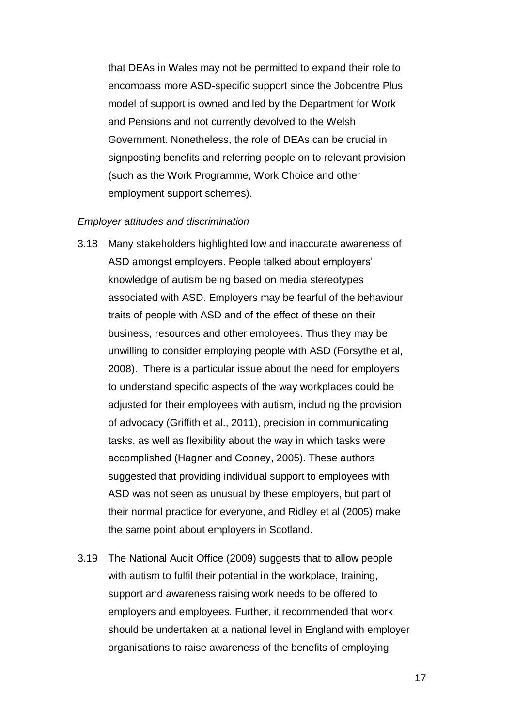that DEAs in Wales may not be permitted to expand their role to encompass more ASD-specific support since the Jobcentre Plus model of support is owned and led by the Department for Work and Pensions and not currently devolved to the Welsh Government. Nonetheless, the role of DEAs can be crucial in signposting benefits and referring people on to relevant provision (such as the Work Programme, Work Choice and other employment support schemes).

#### *Employer attitudes and discrimination*

- 3.18 Many stakeholders highlighted low and inaccurate awareness of ASD amongst employers. People talked about employers' knowledge of autism being based on media stereotypes associated with ASD. Employers may be fearful of the behaviour traits of people with ASD and of the effect of these on their business, resources and other employees. Thus they may be unwilling to consider employing people with ASD (Forsythe et al, 2008). There is a particular issue about the need for employers to understand specific aspects of the way workplaces could be adjusted for their employees with autism, including the provision of advocacy (Griffith et al., 2011), precision in communicating tasks, as well as flexibility about the way in which tasks were accomplished (Hagner and Cooney, 2005). These authors suggested that providing individual support to employees with ASD was not seen as unusual by these employers, but part of their normal practice for everyone, and Ridley et al (2005) make the same point about employers in Scotland.
- 3.19 The National Audit Office (2009) suggests that to allow people with autism to fulfil their potential in the workplace, training, support and awareness raising work needs to be offered to employers and employees. Further, it recommended that work should be undertaken at a national level in England with employer organisations to raise awareness of the benefits of employing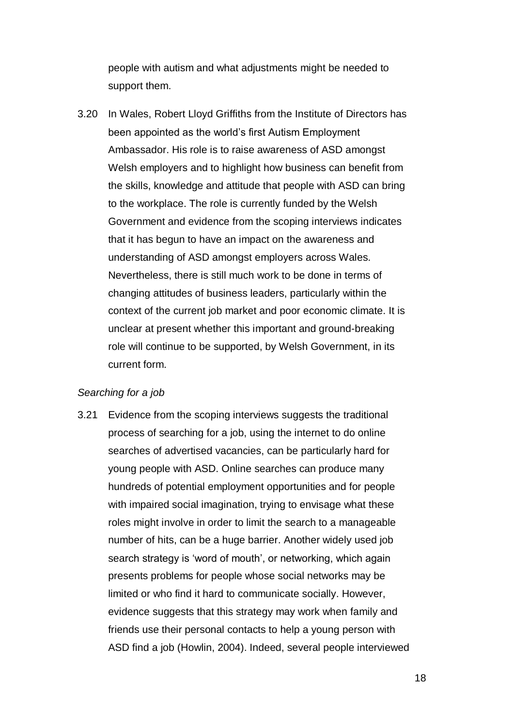people with autism and what adjustments might be needed to support them.

3.20 In Wales, Robert Lloyd Griffiths from the Institute of Directors has been appointed as the world's first Autism Employment Ambassador. His role is to raise awareness of ASD amongst Welsh employers and to highlight how business can benefit from the skills, knowledge and attitude that people with ASD can bring to the workplace. The role is currently funded by the Welsh Government and evidence from the scoping interviews indicates that it has begun to have an impact on the awareness and understanding of ASD amongst employers across Wales. Nevertheless, there is still much work to be done in terms of changing attitudes of business leaders, particularly within the context of the current job market and poor economic climate. It is unclear at present whether this important and ground-breaking role will continue to be supported, by Welsh Government, in its current form.

#### *Searching for a job*

3.21 Evidence from the scoping interviews suggests the traditional process of searching for a job, using the internet to do online searches of advertised vacancies, can be particularly hard for young people with ASD. Online searches can produce many hundreds of potential employment opportunities and for people with impaired social imagination, trying to envisage what these roles might involve in order to limit the search to a manageable number of hits, can be a huge barrier. Another widely used job search strategy is 'word of mouth', or networking, which again presents problems for people whose social networks may be limited or who find it hard to communicate socially. However, evidence suggests that this strategy may work when family and friends use their personal contacts to help a young person with ASD find a job (Howlin, 2004). Indeed, several people interviewed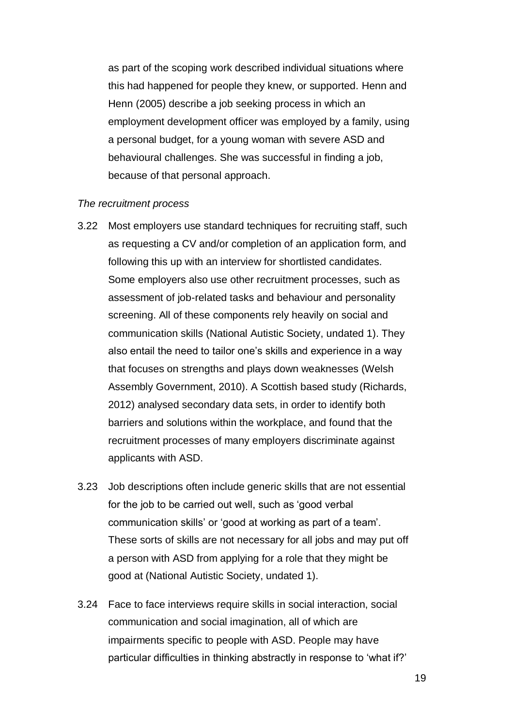as part of the scoping work described individual situations where this had happened for people they knew, or supported. Henn and Henn (2005) describe a job seeking process in which an employment development officer was employed by a family, using a personal budget, for a young woman with severe ASD and behavioural challenges. She was successful in finding a job, because of that personal approach.

#### *The recruitment process*

- 3.22 Most employers use standard techniques for recruiting staff, such as requesting a CV and/or completion of an application form, and following this up with an interview for shortlisted candidates. Some employers also use other recruitment processes, such as assessment of job-related tasks and behaviour and personality screening. All of these components rely heavily on social and communication skills (National Autistic Society, undated 1). They also entail the need to tailor one's skills and experience in a way that focuses on strengths and plays down weaknesses (Welsh Assembly Government, 2010). A Scottish based study (Richards, 2012) analysed secondary data sets, in order to identify both barriers and solutions within the workplace, and found that the recruitment processes of many employers discriminate against applicants with ASD.
- 3.23 Job descriptions often include generic skills that are not essential for the job to be carried out well, such as 'good verbal communication skills' or 'good at working as part of a team'. These sorts of skills are not necessary for all jobs and may put off a person with ASD from applying for a role that they might be good at (National Autistic Society, undated 1).
- 3.24 Face to face interviews require skills in social interaction, social communication and social imagination, all of which are impairments specific to people with ASD. People may have particular difficulties in thinking abstractly in response to 'what if?'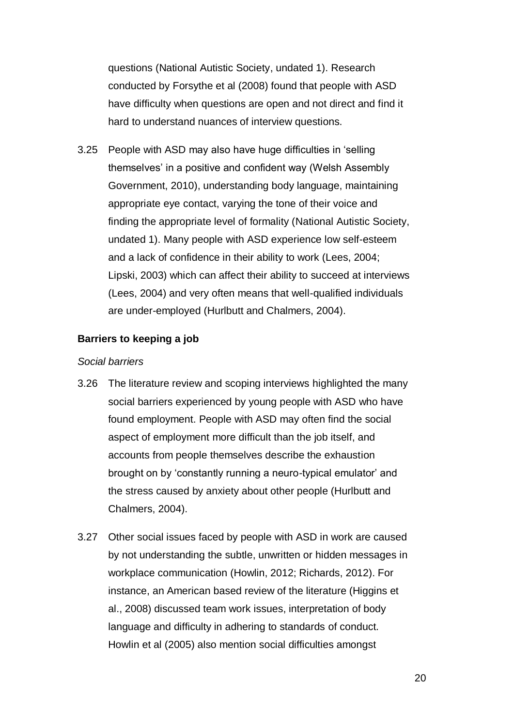questions (National Autistic Society, undated 1). Research conducted by Forsythe et al (2008) found that people with ASD have difficulty when questions are open and not direct and find it hard to understand nuances of interview questions.

3.25 People with ASD may also have huge difficulties in 'selling themselves' in a positive and confident way (Welsh Assembly Government, 2010), understanding body language, maintaining appropriate eye contact, varying the tone of their voice and finding the appropriate level of formality (National Autistic Society, undated 1). Many people with ASD experience low self-esteem and a lack of confidence in their ability to work (Lees, 2004; Lipski, 2003) which can affect their ability to succeed at interviews (Lees, 2004) and very often means that well-qualified individuals are under-employed (Hurlbutt and Chalmers, 2004).

#### **Barriers to keeping a job**

#### *Social barriers*

- 3.26 The literature review and scoping interviews highlighted the many social barriers experienced by young people with ASD who have found employment. People with ASD may often find the social aspect of employment more difficult than the job itself, and accounts from people themselves describe the exhaustion brought on by 'constantly running a neuro-typical emulator' and the stress caused by anxiety about other people (Hurlbutt and Chalmers, 2004).
- 3.27 Other social issues faced by people with ASD in work are caused by not understanding the subtle, unwritten or hidden messages in workplace communication (Howlin, 2012; Richards, 2012). For instance, an American based review of the literature (Higgins et al., 2008) discussed team work issues, interpretation of body language and difficulty in adhering to standards of conduct. Howlin et al (2005) also mention social difficulties amongst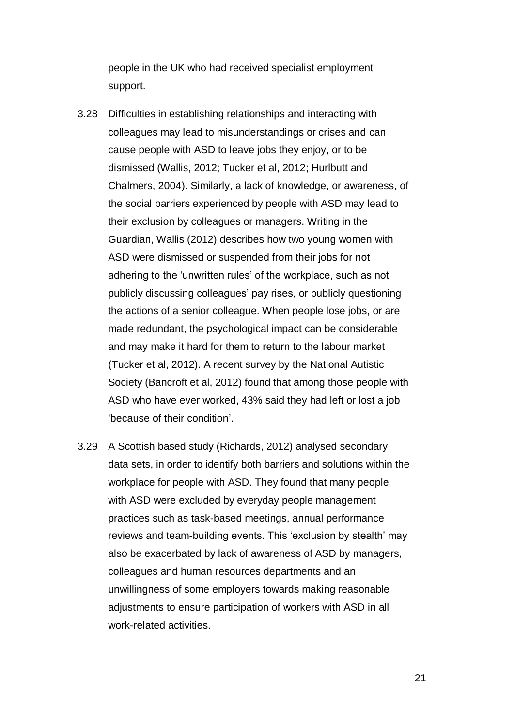people in the UK who had received specialist employment support.

- 3.28 Difficulties in establishing relationships and interacting with colleagues may lead to misunderstandings or crises and can cause people with ASD to leave jobs they enjoy, or to be dismissed (Wallis, 2012; Tucker et al, 2012; Hurlbutt and Chalmers, 2004). Similarly, a lack of knowledge, or awareness, of the social barriers experienced by people with ASD may lead to their exclusion by colleagues or managers. Writing in the Guardian, Wallis (2012) describes how two young women with ASD were dismissed or suspended from their jobs for not adhering to the 'unwritten rules' of the workplace, such as not publicly discussing colleagues' pay rises, or publicly questioning the actions of a senior colleague. When people lose jobs, or are made redundant, the psychological impact can be considerable and may make it hard for them to return to the labour market (Tucker et al, 2012). A recent survey by the National Autistic Society (Bancroft et al, 2012) found that among those people with ASD who have ever worked, 43% said they had left or lost a job 'because of their condition'.
- 3.29 A Scottish based study (Richards, 2012) analysed secondary data sets, in order to identify both barriers and solutions within the workplace for people with ASD. They found that many people with ASD were excluded by everyday people management practices such as task-based meetings, annual performance reviews and team-building events. This 'exclusion by stealth' may also be exacerbated by lack of awareness of ASD by managers, colleagues and human resources departments and an unwillingness of some employers towards making reasonable adjustments to ensure participation of workers with ASD in all work-related activities.

21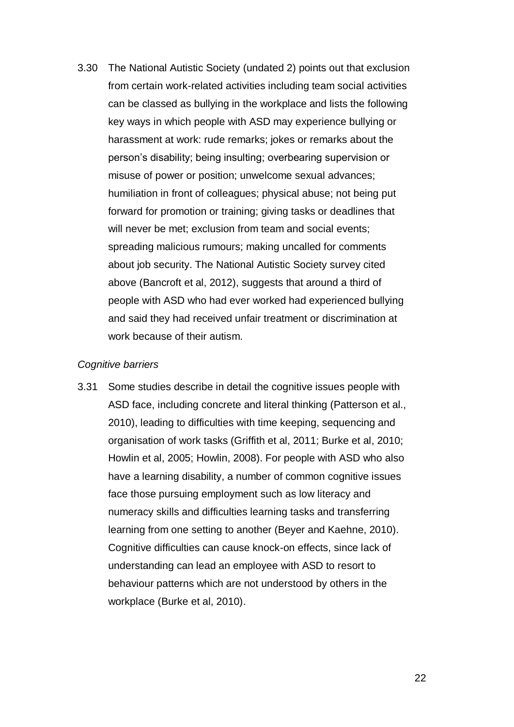3.30 The National Autistic Society (undated 2) points out that exclusion from certain work-related activities including team social activities can be classed as bullying in the workplace and lists the following key ways in which people with ASD may experience bullying or harassment at work: rude remarks; jokes or remarks about the person's disability; being insulting; overbearing supervision or misuse of power or position; unwelcome sexual advances; humiliation in front of colleagues; physical abuse; not being put forward for promotion or training; giving tasks or deadlines that will never be met; exclusion from team and social events; spreading malicious rumours; making uncalled for comments about job security. The National Autistic Society survey cited above (Bancroft et al, 2012), suggests that around a third of people with ASD who had ever worked had experienced bullying and said they had received unfair treatment or discrimination at work because of their autism.

#### *Cognitive barriers*

3.31 Some studies describe in detail the cognitive issues people with ASD face, including concrete and literal thinking (Patterson et al., 2010), leading to difficulties with time keeping, sequencing and organisation of work tasks (Griffith et al, 2011; Burke et al, 2010; Howlin et al, 2005; Howlin, 2008). For people with ASD who also have a learning disability, a number of common cognitive issues face those pursuing employment such as low literacy and numeracy skills and difficulties learning tasks and transferring learning from one setting to another (Beyer and Kaehne, 2010). Cognitive difficulties can cause knock-on effects, since lack of understanding can lead an employee with ASD to resort to behaviour patterns which are not understood by others in the workplace (Burke et al, 2010).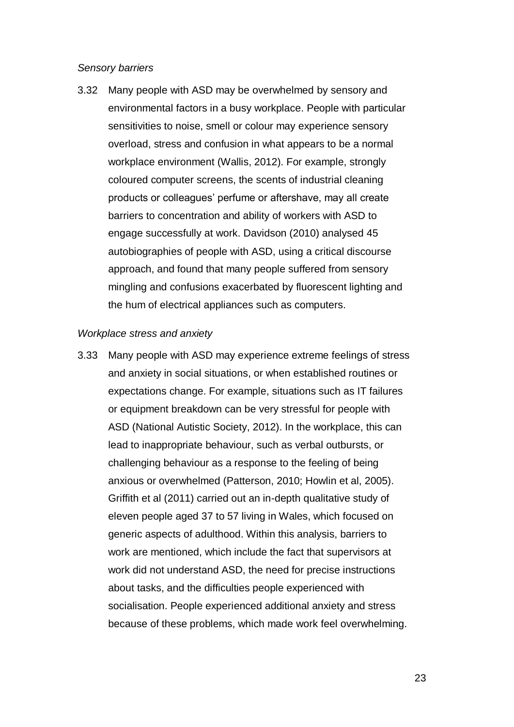#### *Sensory barriers*

3.32 Many people with ASD may be overwhelmed by sensory and environmental factors in a busy workplace. People with particular sensitivities to noise, smell or colour may experience sensory overload, stress and confusion in what appears to be a normal workplace environment (Wallis, 2012). For example, strongly coloured computer screens, the scents of industrial cleaning products or colleagues' perfume or aftershave, may all create barriers to concentration and ability of workers with ASD to engage successfully at work. Davidson (2010) analysed 45 autobiographies of people with ASD, using a critical discourse approach, and found that many people suffered from sensory mingling and confusions exacerbated by fluorescent lighting and the hum of electrical appliances such as computers.

#### *Workplace stress and anxiety*

3.33 Many people with ASD may experience extreme feelings of stress and anxiety in social situations, or when established routines or expectations change. For example, situations such as IT failures or equipment breakdown can be very stressful for people with ASD (National Autistic Society, 2012). In the workplace, this can lead to inappropriate behaviour, such as verbal outbursts, or challenging behaviour as a response to the feeling of being anxious or overwhelmed (Patterson, 2010; Howlin et al, 2005). Griffith et al (2011) carried out an in-depth qualitative study of eleven people aged 37 to 57 living in Wales, which focused on generic aspects of adulthood. Within this analysis, barriers to work are mentioned, which include the fact that supervisors at work did not understand ASD, the need for precise instructions about tasks, and the difficulties people experienced with socialisation. People experienced additional anxiety and stress because of these problems, which made work feel overwhelming.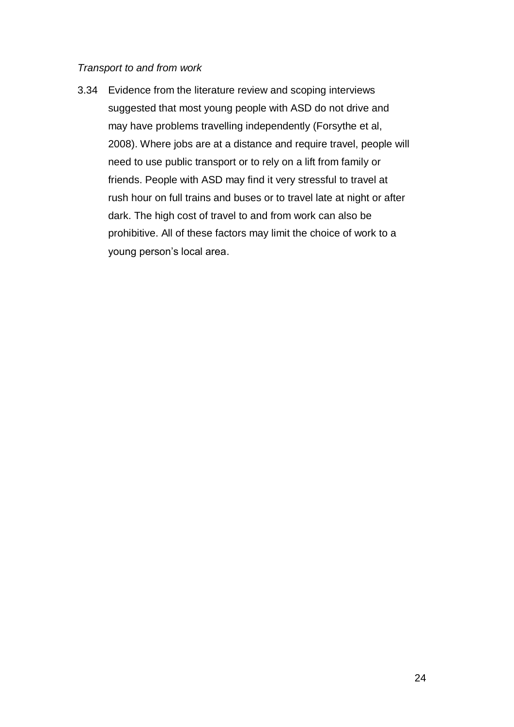#### *Transport to and from work*

3.34 Evidence from the literature review and scoping interviews suggested that most young people with ASD do not drive and may have problems travelling independently (Forsythe et al, 2008). Where jobs are at a distance and require travel, people will need to use public transport or to rely on a lift from family or friends. People with ASD may find it very stressful to travel at rush hour on full trains and buses or to travel late at night or after dark. The high cost of travel to and from work can also be prohibitive. All of these factors may limit the choice of work to a young person's local area.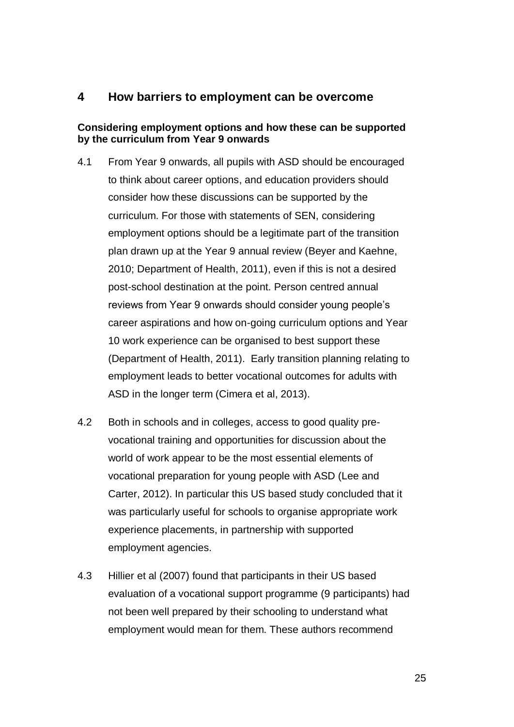## <span id="page-26-0"></span>**4 How barriers to employment can be overcome**

#### **Considering employment options and how these can be supported by the curriculum from Year 9 onwards**

- 4.1 From Year 9 onwards, all pupils with ASD should be encouraged to think about career options, and education providers should consider how these discussions can be supported by the curriculum. For those with statements of SEN, considering employment options should be a legitimate part of the transition plan drawn up at the Year 9 annual review (Beyer and Kaehne, 2010; Department of Health, 2011), even if this is not a desired post-school destination at the point. Person centred annual reviews from Year 9 onwards should consider young people's career aspirations and how on-going curriculum options and Year 10 work experience can be organised to best support these (Department of Health, 2011). Early transition planning relating to employment leads to better vocational outcomes for adults with ASD in the longer term (Cimera et al, 2013).
- 4.2 Both in schools and in colleges, access to good quality prevocational training and opportunities for discussion about the world of work appear to be the most essential elements of vocational preparation for young people with ASD (Lee and Carter, 2012). In particular this US based study concluded that it was particularly useful for schools to organise appropriate work experience placements, in partnership with supported employment agencies.
- 4.3 Hillier et al (2007) found that participants in their US based evaluation of a vocational support programme (9 participants) had not been well prepared by their schooling to understand what employment would mean for them. These authors recommend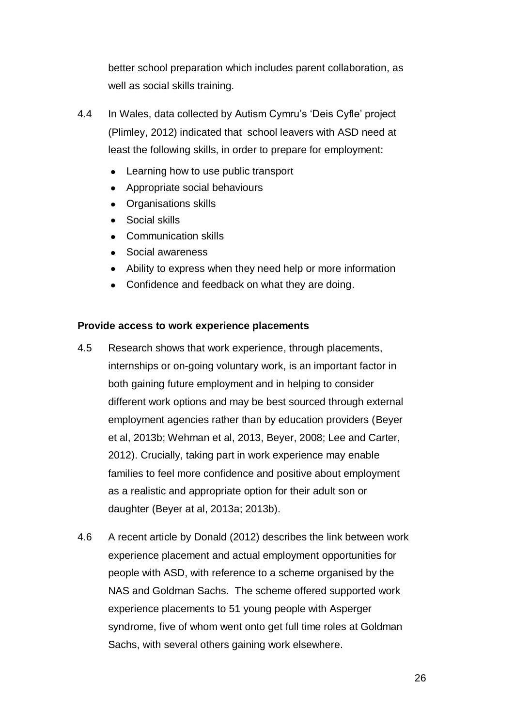better school preparation which includes parent collaboration, as well as social skills training.

- 4.4 In Wales, data collected by Autism Cymru's 'Deis Cyfle' project (Plimley, 2012) indicated that school leavers with ASD need at least the following skills, in order to prepare for employment:
	- Learning how to use public transport  $\bullet$
	- Appropriate social behaviours
	- Organisations skills
	- Social skills
	- Communication skills
	- Social awareness
	- Ability to express when they need help or more information
	- Confidence and feedback on what they are doing.

#### **Provide access to work experience placements**

- 4.5 Research shows that work experience, through placements, internships or on-going voluntary work, is an important factor in both gaining future employment and in helping to consider different work options and may be best sourced through external employment agencies rather than by education providers (Beyer et al, 2013b; Wehman et al, 2013, Beyer, 2008; Lee and Carter, 2012). Crucially, taking part in work experience may enable families to feel more confidence and positive about employment as a realistic and appropriate option for their adult son or daughter (Beyer at al, 2013a; 2013b).
- 4.6 A recent article by Donald (2012) describes the link between work experience placement and actual employment opportunities for people with ASD, with reference to a scheme organised by the NAS and Goldman Sachs. The scheme offered supported work experience placements to 51 young people with Asperger syndrome, five of whom went onto get full time roles at Goldman Sachs, with several others gaining work elsewhere.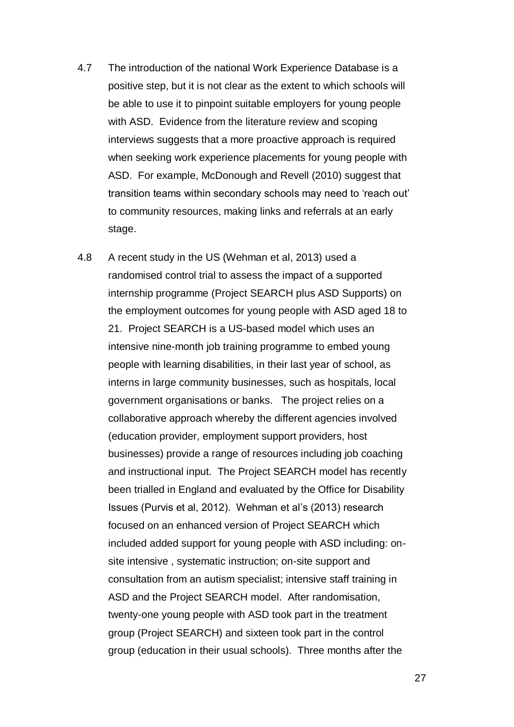- 4.7 The introduction of the national Work Experience Database is a positive step, but it is not clear as the extent to which schools will be able to use it to pinpoint suitable employers for young people with ASD. Evidence from the literature review and scoping interviews suggests that a more proactive approach is required when seeking work experience placements for young people with ASD. For example, McDonough and Revell (2010) suggest that transition teams within secondary schools may need to 'reach out' to community resources, making links and referrals at an early stage.
- 4.8 A recent study in the US (Wehman et al, 2013) used a randomised control trial to assess the impact of a supported internship programme (Project SEARCH plus ASD Supports) on the employment outcomes for young people with ASD aged 18 to 21. Project SEARCH is a US-based model which uses an intensive nine-month job training programme to embed young people with learning disabilities, in their last year of school, as interns in large community businesses, such as hospitals, local government organisations or banks. The project relies on a collaborative approach whereby the different agencies involved (education provider, employment support providers, host businesses) provide a range of resources including job coaching and instructional input. The Project SEARCH model has recently been trialled in England and evaluated by the Office for Disability Issues (Purvis et al, 2012). Wehman et al's (2013) research focused on an enhanced version of Project SEARCH which included added support for young people with ASD including: onsite intensive , systematic instruction; on-site support and consultation from an autism specialist; intensive staff training in ASD and the Project SEARCH model. After randomisation, twenty-one young people with ASD took part in the treatment group (Project SEARCH) and sixteen took part in the control group (education in their usual schools). Three months after the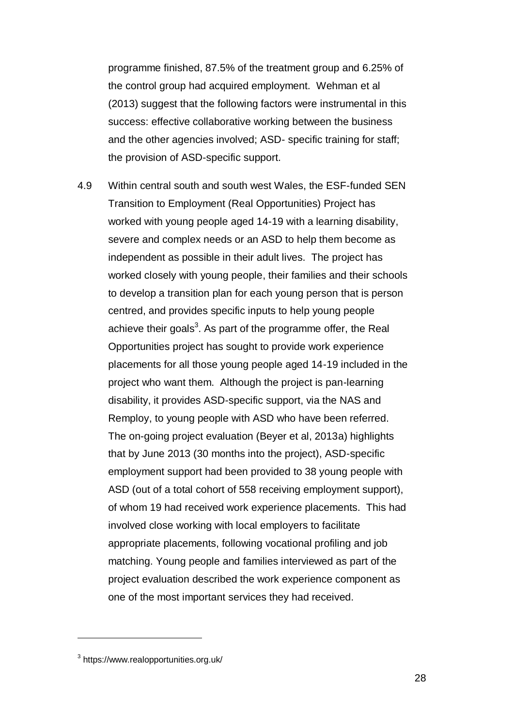programme finished, 87.5% of the treatment group and 6.25% of the control group had acquired employment. Wehman et al (2013) suggest that the following factors were instrumental in this success: effective collaborative working between the business and the other agencies involved; ASD- specific training for staff; the provision of ASD-specific support.

4.9 Within central south and south west Wales, the ESF-funded SEN Transition to Employment (Real Opportunities) Project has worked with young people aged 14-19 with a learning disability, severe and complex needs or an ASD to help them become as independent as possible in their adult lives. The project has worked closely with young people, their families and their schools to develop a transition plan for each young person that is person centred, and provides specific inputs to help young people achieve their goals<sup>3</sup>. As part of the programme offer, the Real Opportunities project has sought to provide work experience placements for all those young people aged 14-19 included in the project who want them. Although the project is pan-learning disability, it provides ASD-specific support, via the NAS and Remploy, to young people with ASD who have been referred. The on-going project evaluation (Beyer et al, 2013a) highlights that by June 2013 (30 months into the project), ASD-specific employment support had been provided to 38 young people with ASD (out of a total cohort of 558 receiving employment support), of whom 19 had received work experience placements. This had involved close working with local employers to facilitate appropriate placements, following vocational profiling and job matching. Young people and families interviewed as part of the project evaluation described the work experience component as one of the most important services they had received.

 $\overline{a}$ 

<sup>&</sup>lt;sup>3</sup> https://www.realopportunities.org.uk/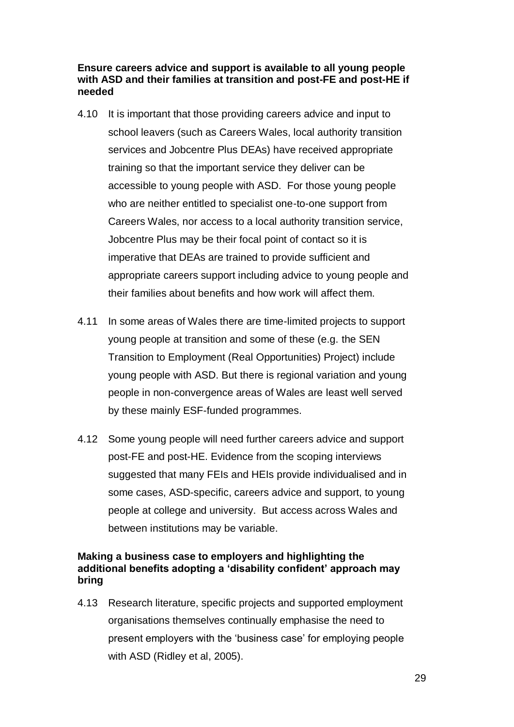#### **Ensure careers advice and support is available to all young people with ASD and their families at transition and post-FE and post-HE if needed**

- 4.10 It is important that those providing careers advice and input to school leavers (such as Careers Wales, local authority transition services and Jobcentre Plus DEAs) have received appropriate training so that the important service they deliver can be accessible to young people with ASD. For those young people who are neither entitled to specialist one-to-one support from Careers Wales, nor access to a local authority transition service, Jobcentre Plus may be their focal point of contact so it is imperative that DEAs are trained to provide sufficient and appropriate careers support including advice to young people and their families about benefits and how work will affect them.
- 4.11 In some areas of Wales there are time-limited projects to support young people at transition and some of these (e.g. the SEN Transition to Employment (Real Opportunities) Project) include young people with ASD. But there is regional variation and young people in non-convergence areas of Wales are least well served by these mainly ESF-funded programmes.
- 4.12 Some young people will need further careers advice and support post-FE and post-HE. Evidence from the scoping interviews suggested that many FEIs and HEIs provide individualised and in some cases, ASD-specific, careers advice and support, to young people at college and university. But access across Wales and between institutions may be variable.

#### **Making a business case to employers and highlighting the additional benefits adopting a 'disability confident' approach may bring**

4.13 Research literature, specific projects and supported employment organisations themselves continually emphasise the need to present employers with the 'business case' for employing people with ASD (Ridley et al, 2005).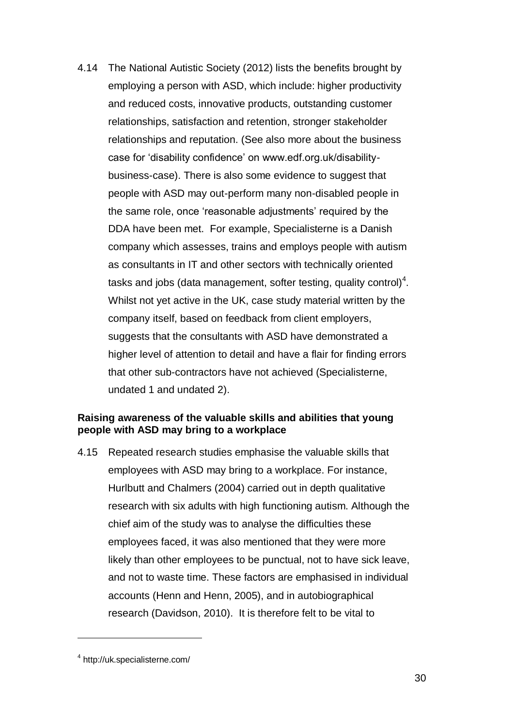4.14 The National Autistic Society (2012) lists the benefits brought by employing a person with ASD, which include: higher productivity and reduced costs, innovative products, outstanding customer relationships, satisfaction and retention, stronger stakeholder relationships and reputation. (See also more about the business case for 'disability confidence' on www.edf.org.uk/disabilitybusiness-case). There is also some evidence to suggest that people with ASD may out-perform many non-disabled people in the same role, once 'reasonable adjustments' required by the DDA have been met. For example, Specialisterne is a Danish company which assesses, trains and employs people with autism as consultants in IT and other sectors with technically oriented tasks and jobs (data management, softer testing, quality control)<sup>4</sup>. Whilst not yet active in the UK, case study material written by the company itself, based on feedback from client employers, suggests that the consultants with ASD have demonstrated a higher level of attention to detail and have a flair for finding errors that other sub-contractors have not achieved (Specialisterne, undated 1 and undated 2).

#### **Raising awareness of the valuable skills and abilities that young people with ASD may bring to a workplace**

4.15 Repeated research studies emphasise the valuable skills that employees with ASD may bring to a workplace. For instance, Hurlbutt and Chalmers (2004) carried out in depth qualitative research with six adults with high functioning autism. Although the chief aim of the study was to analyse the difficulties these employees faced, it was also mentioned that they were more likely than other employees to be punctual, not to have sick leave, and not to waste time. These factors are emphasised in individual accounts (Henn and Henn, 2005), and in autobiographical research (Davidson, 2010). It is therefore felt to be vital to

 $\overline{a}$ 

<sup>4</sup> http://uk.specialisterne.com/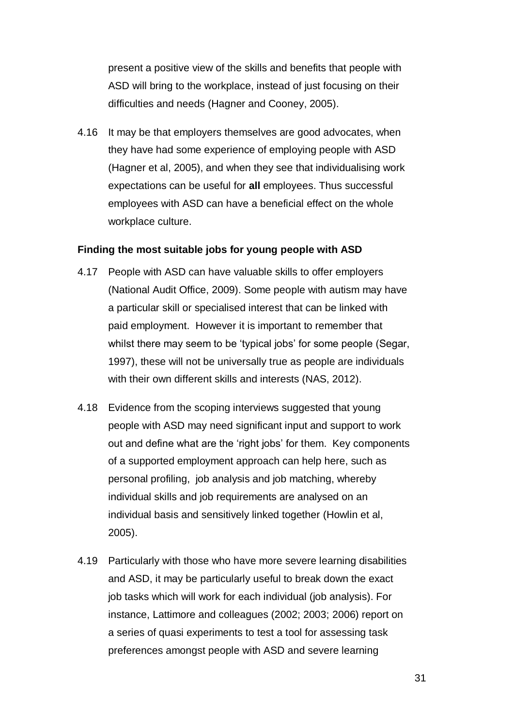present a positive view of the skills and benefits that people with ASD will bring to the workplace, instead of just focusing on their difficulties and needs (Hagner and Cooney, 2005).

4.16 It may be that employers themselves are good advocates, when they have had some experience of employing people with ASD (Hagner et al, 2005), and when they see that individualising work expectations can be useful for **all** employees. Thus successful employees with ASD can have a beneficial effect on the whole workplace culture.

#### **Finding the most suitable jobs for young people with ASD**

- 4.17 People with ASD can have valuable skills to offer employers (National Audit Office, 2009). Some people with autism may have a particular skill or specialised interest that can be linked with paid employment. However it is important to remember that whilst there may seem to be 'typical jobs' for some people (Segar, 1997), these will not be universally true as people are individuals with their own different skills and interests (NAS, 2012).
- 4.18 Evidence from the scoping interviews suggested that young people with ASD may need significant input and support to work out and define what are the 'right jobs' for them. Key components of a supported employment approach can help here, such as personal profiling, job analysis and job matching, whereby individual skills and job requirements are analysed on an individual basis and sensitively linked together (Howlin et al, 2005).
- 4.19 Particularly with those who have more severe learning disabilities and ASD, it may be particularly useful to break down the exact job tasks which will work for each individual (job analysis). For instance, Lattimore and colleagues (2002; 2003; 2006) report on a series of quasi experiments to test a tool for assessing task preferences amongst people with ASD and severe learning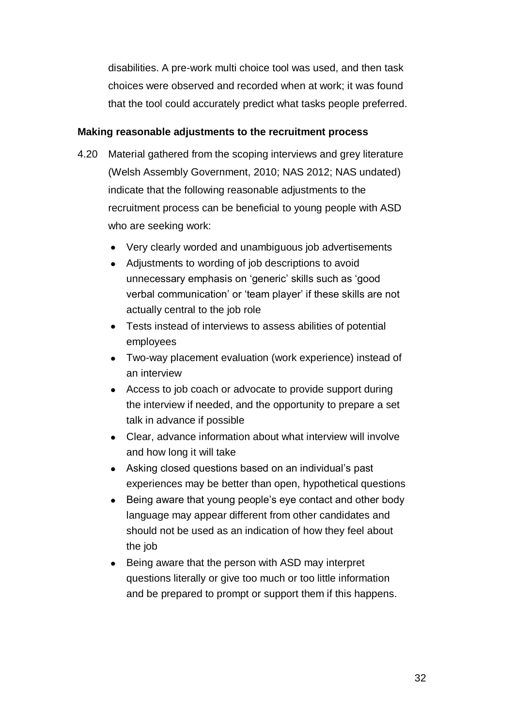disabilities. A pre-work multi choice tool was used, and then task choices were observed and recorded when at work; it was found that the tool could accurately predict what tasks people preferred.

#### **Making reasonable adjustments to the recruitment process**

- 4.20 Material gathered from the scoping interviews and grey literature (Welsh Assembly Government, 2010; NAS 2012; NAS undated) indicate that the following reasonable adjustments to the recruitment process can be beneficial to young people with ASD who are seeking work:
	- Very clearly worded and unambiguous job advertisements
	- Adjustments to wording of job descriptions to avoid unnecessary emphasis on 'generic' skills such as 'good verbal communication' or 'team player' if these skills are not actually central to the job role
	- Tests instead of interviews to assess abilities of potential employees
	- Two-way placement evaluation (work experience) instead of an interview
	- Access to job coach or advocate to provide support during the interview if needed, and the opportunity to prepare a set talk in advance if possible
	- Clear, advance information about what interview will involve and how long it will take
	- Asking closed questions based on an individual's past experiences may be better than open, hypothetical questions
	- Being aware that young people's eye contact and other body language may appear different from other candidates and should not be used as an indication of how they feel about the job
	- Being aware that the person with ASD may interpret questions literally or give too much or too little information and be prepared to prompt or support them if this happens.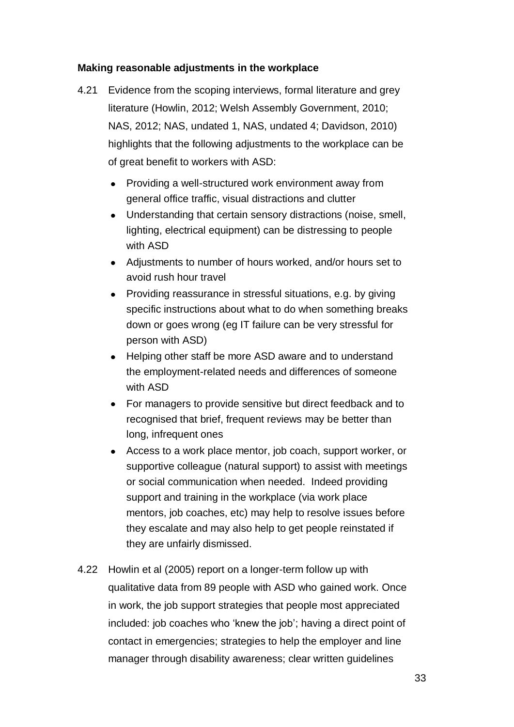#### **Making reasonable adjustments in the workplace**

- 4.21 Evidence from the scoping interviews, formal literature and grey literature (Howlin, 2012; Welsh Assembly Government, 2010; NAS, 2012; NAS, undated 1, NAS, undated 4; Davidson, 2010) highlights that the following adjustments to the workplace can be of great benefit to workers with ASD:
	- Providing a well-structured work environment away from general office traffic, visual distractions and clutter
	- Understanding that certain sensory distractions (noise, smell, lighting, electrical equipment) can be distressing to people with ASD
	- Adjustments to number of hours worked, and/or hours set to avoid rush hour travel
	- Providing reassurance in stressful situations, e.g. by giving specific instructions about what to do when something breaks down or goes wrong (eg IT failure can be very stressful for person with ASD)
	- Helping other staff be more ASD aware and to understand the employment-related needs and differences of someone with ASD
	- For managers to provide sensitive but direct feedback and to recognised that brief, frequent reviews may be better than long, infrequent ones
	- Access to a work place mentor, job coach, support worker, or supportive colleague (natural support) to assist with meetings or social communication when needed. Indeed providing support and training in the workplace (via work place mentors, job coaches, etc) may help to resolve issues before they escalate and may also help to get people reinstated if they are unfairly dismissed.
- 4.22 Howlin et al (2005) report on a longer-term follow up with qualitative data from 89 people with ASD who gained work. Once in work, the job support strategies that people most appreciated included: job coaches who 'knew the job'; having a direct point of contact in emergencies; strategies to help the employer and line manager through disability awareness; clear written guidelines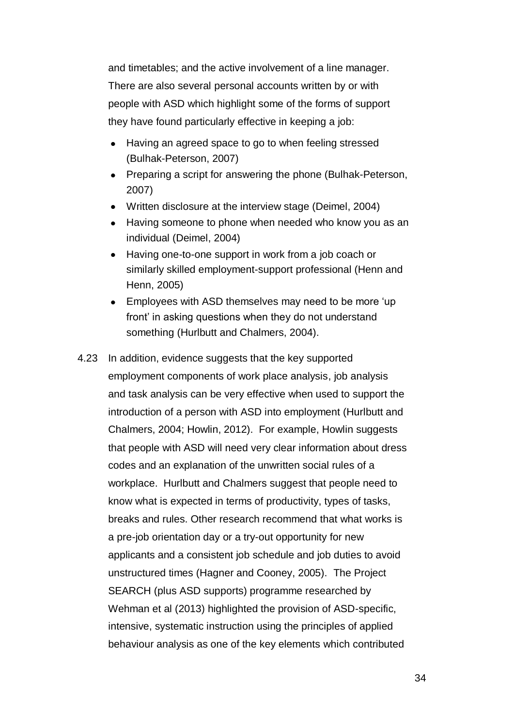and timetables; and the active involvement of a line manager. There are also several personal accounts written by or with people with ASD which highlight some of the forms of support they have found particularly effective in keeping a job:

- Having an agreed space to go to when feeling stressed (Bulhak-Peterson, 2007)
- Preparing a script for answering the phone (Bulhak-Peterson, 2007)
- Written disclosure at the interview stage (Deimel, 2004)
- Having someone to phone when needed who know you as an individual (Deimel, 2004)
- Having one-to-one support in work from a job coach or similarly skilled employment-support professional (Henn and Henn, 2005)
- Employees with ASD themselves may need to be more 'up front' in asking questions when they do not understand something (Hurlbutt and Chalmers, 2004).
- 4.23 In addition, evidence suggests that the key supported employment components of work place analysis, job analysis and task analysis can be very effective when used to support the introduction of a person with ASD into employment (Hurlbutt and Chalmers, 2004; Howlin, 2012). For example, Howlin suggests that people with ASD will need very clear information about dress codes and an explanation of the unwritten social rules of a workplace. Hurlbutt and Chalmers suggest that people need to know what is expected in terms of productivity, types of tasks, breaks and rules. Other research recommend that what works is a pre-job orientation day or a try-out opportunity for new applicants and a consistent job schedule and job duties to avoid unstructured times (Hagner and Cooney, 2005). The Project SEARCH (plus ASD supports) programme researched by Wehman et al (2013) highlighted the provision of ASD-specific, intensive, systematic instruction using the principles of applied behaviour analysis as one of the key elements which contributed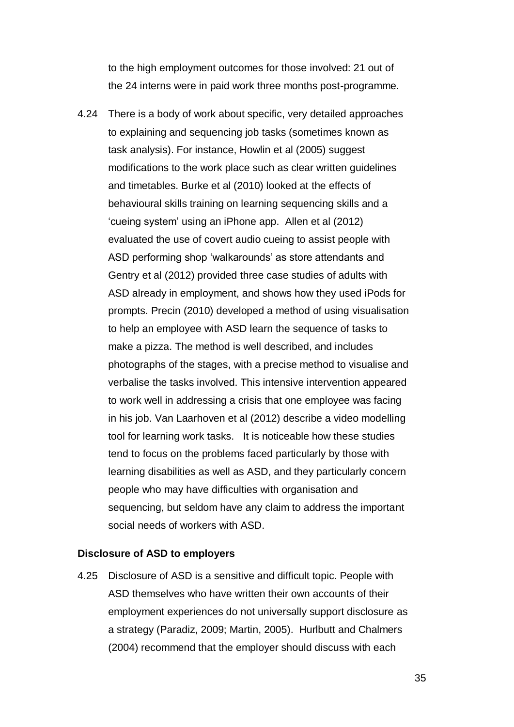to the high employment outcomes for those involved: 21 out of the 24 interns were in paid work three months post-programme.

4.24 There is a body of work about specific, very detailed approaches to explaining and sequencing job tasks (sometimes known as task analysis). For instance, Howlin et al (2005) suggest modifications to the work place such as clear written guidelines and timetables. Burke et al (2010) looked at the effects of behavioural skills training on learning sequencing skills and a 'cueing system' using an iPhone app. Allen et al (2012) evaluated the use of covert audio cueing to assist people with ASD performing shop 'walkarounds' as store attendants and Gentry et al (2012) provided three case studies of adults with ASD already in employment, and shows how they used iPods for prompts. Precin (2010) developed a method of using visualisation to help an employee with ASD learn the sequence of tasks to make a pizza. The method is well described, and includes photographs of the stages, with a precise method to visualise and verbalise the tasks involved. This intensive intervention appeared to work well in addressing a crisis that one employee was facing in his job. Van Laarhoven et al (2012) describe a video modelling tool for learning work tasks. It is noticeable how these studies tend to focus on the problems faced particularly by those with learning disabilities as well as ASD, and they particularly concern people who may have difficulties with organisation and sequencing, but seldom have any claim to address the important social needs of workers with ASD.

#### **Disclosure of ASD to employers**

4.25 Disclosure of ASD is a sensitive and difficult topic. People with ASD themselves who have written their own accounts of their employment experiences do not universally support disclosure as a strategy (Paradiz, 2009; Martin, 2005). Hurlbutt and Chalmers (2004) recommend that the employer should discuss with each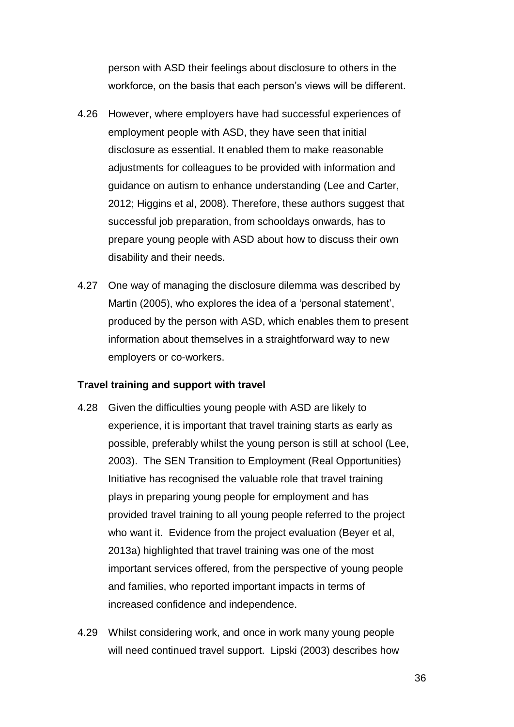person with ASD their feelings about disclosure to others in the workforce, on the basis that each person's views will be different.

- 4.26 However, where employers have had successful experiences of employment people with ASD, they have seen that initial disclosure as essential. It enabled them to make reasonable adjustments for colleagues to be provided with information and guidance on autism to enhance understanding (Lee and Carter, 2012; Higgins et al, 2008). Therefore, these authors suggest that successful job preparation, from schooldays onwards, has to prepare young people with ASD about how to discuss their own disability and their needs.
- 4.27 One way of managing the disclosure dilemma was described by Martin (2005), who explores the idea of a 'personal statement', produced by the person with ASD, which enables them to present information about themselves in a straightforward way to new employers or co-workers.

#### **Travel training and support with travel**

- 4.28 Given the difficulties young people with ASD are likely to experience, it is important that travel training starts as early as possible, preferably whilst the young person is still at school (Lee, 2003). The SEN Transition to Employment (Real Opportunities) Initiative has recognised the valuable role that travel training plays in preparing young people for employment and has provided travel training to all young people referred to the project who want it. Evidence from the project evaluation (Beyer et al, 2013a) highlighted that travel training was one of the most important services offered, from the perspective of young people and families, who reported important impacts in terms of increased confidence and independence.
- 4.29 Whilst considering work, and once in work many young people will need continued travel support. Lipski (2003) describes how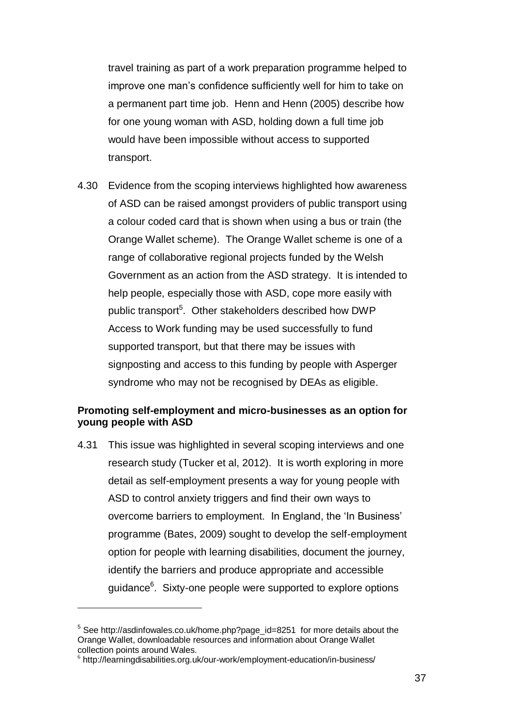travel training as part of a work preparation programme helped to improve one man's confidence sufficiently well for him to take on a permanent part time job. Henn and Henn (2005) describe how for one young woman with ASD, holding down a full time job would have been impossible without access to supported transport.

4.30 Evidence from the scoping interviews highlighted how awareness of ASD can be raised amongst providers of public transport using a colour coded card that is shown when using a bus or train (the Orange Wallet scheme). The Orange Wallet scheme is one of a range of collaborative regional projects funded by the Welsh Government as an action from the ASD strategy. It is intended to help people, especially those with ASD, cope more easily with public transport<sup>5</sup>. Other stakeholders described how DWP Access to Work funding may be used successfully to fund supported transport, but that there may be issues with signposting and access to this funding by people with Asperger syndrome who may not be recognised by DEAs as eligible.

#### **Promoting self-employment and micro-businesses as an option for young people with ASD**

4.31 This issue was highlighted in several scoping interviews and one research study (Tucker et al, 2012). It is worth exploring in more detail as self-employment presents a way for young people with ASD to control anxiety triggers and find their own ways to overcome barriers to employment. In England, the 'In Business' programme (Bates, 2009) sought to develop the self-employment option for people with learning disabilities, document the journey, identify the barriers and produce appropriate and accessible guidance<sup>6</sup>. Sixty-one people were supported to explore options

 $\overline{a}$ 

 $5$  See http://asdinfowales.co.uk/home.php?page\_id=8251 for more details about the Orange Wallet, downloadable resources and information about Orange Wallet collection points around Wales.

<sup>&</sup>lt;sup>6</sup> http://learningdisabilities.org.uk/our-work/employment-education/in-business/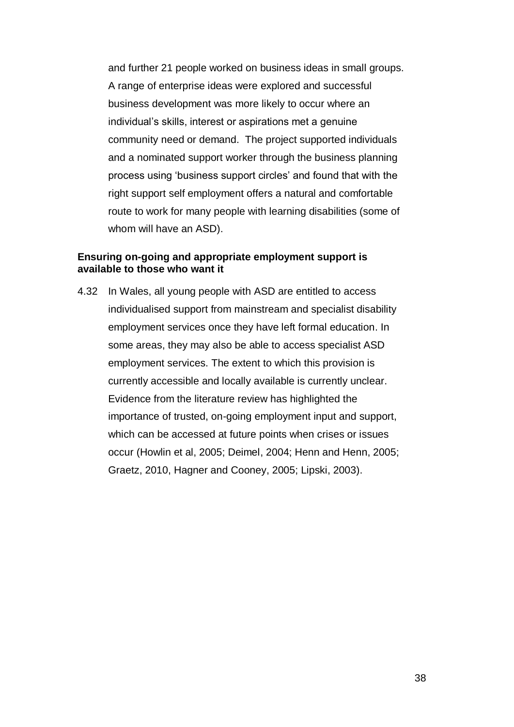and further 21 people worked on business ideas in small groups. A range of enterprise ideas were explored and successful business development was more likely to occur where an individual's skills, interest or aspirations met a genuine community need or demand. The project supported individuals and a nominated support worker through the business planning process using 'business support circles' and found that with the right support self employment offers a natural and comfortable route to work for many people with learning disabilities (some of whom will have an ASD).

#### **Ensuring on-going and appropriate employment support is available to those who want it**

4.32 In Wales, all young people with ASD are entitled to access individualised support from mainstream and specialist disability employment services once they have left formal education. In some areas, they may also be able to access specialist ASD employment services. The extent to which this provision is currently accessible and locally available is currently unclear. Evidence from the literature review has highlighted the importance of trusted, on-going employment input and support, which can be accessed at future points when crises or issues occur (Howlin et al, 2005; Deimel, 2004; Henn and Henn, 2005; Graetz, 2010, Hagner and Cooney, 2005; Lipski, 2003).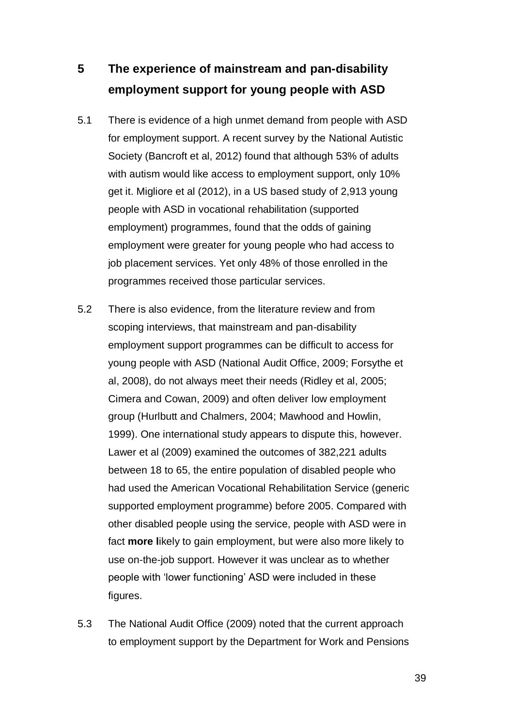# <span id="page-40-0"></span>**5 The experience of mainstream and pan-disability employment support for young people with ASD**

- 5.1 There is evidence of a high unmet demand from people with ASD for employment support. A recent survey by the National Autistic Society (Bancroft et al, 2012) found that although 53% of adults with autism would like access to employment support, only 10% get it. Migliore et al (2012), in a US based study of 2,913 young people with ASD in vocational rehabilitation (supported employment) programmes, found that the odds of gaining employment were greater for young people who had access to job placement services. Yet only 48% of those enrolled in the programmes received those particular services.
- 5.2 There is also evidence, from the literature review and from scoping interviews, that mainstream and pan-disability employment support programmes can be difficult to access for young people with ASD (National Audit Office, 2009; Forsythe et al, 2008), do not always meet their needs (Ridley et al, 2005; Cimera and Cowan, 2009) and often deliver low employment group (Hurlbutt and Chalmers, 2004; Mawhood and Howlin, 1999). One international study appears to dispute this, however. Lawer et al (2009) examined the outcomes of 382,221 adults between 18 to 65, the entire population of disabled people who had used the American Vocational Rehabilitation Service (generic supported employment programme) before 2005. Compared with other disabled people using the service, people with ASD were in fact **more l**ikely to gain employment, but were also more likely to use on-the-job support. However it was unclear as to whether people with 'lower functioning' ASD were included in these figures.
- 5.3 The National Audit Office (2009) noted that the current approach to employment support by the Department for Work and Pensions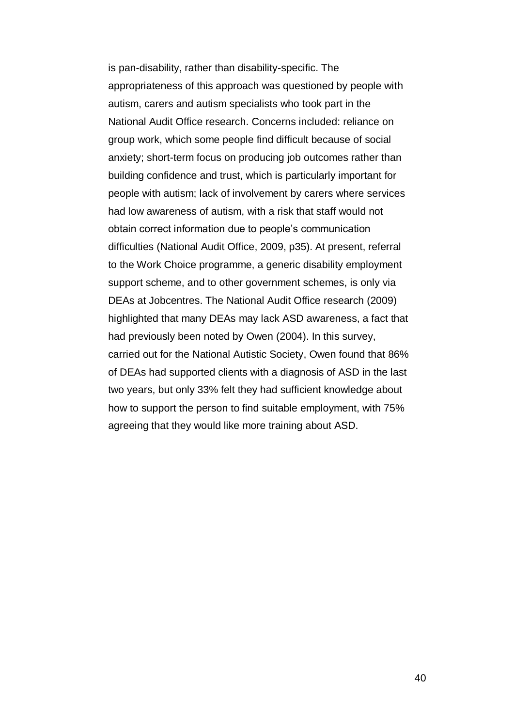is pan-disability, rather than disability-specific. The appropriateness of this approach was questioned by people with autism, carers and autism specialists who took part in the National Audit Office research. Concerns included: reliance on group work, which some people find difficult because of social anxiety; short-term focus on producing job outcomes rather than building confidence and trust, which is particularly important for people with autism; lack of involvement by carers where services had low awareness of autism, with a risk that staff would not obtain correct information due to people's communication difficulties (National Audit Office, 2009, p35). At present, referral to the Work Choice programme, a generic disability employment support scheme, and to other government schemes, is only via DEAs at Jobcentres. The National Audit Office research (2009) highlighted that many DEAs may lack ASD awareness, a fact that had previously been noted by Owen (2004). In this survey, carried out for the National Autistic Society, Owen found that 86% of DEAs had supported clients with a diagnosis of ASD in the last two years, but only 33% felt they had sufficient knowledge about how to support the person to find suitable employment, with 75% agreeing that they would like more training about ASD.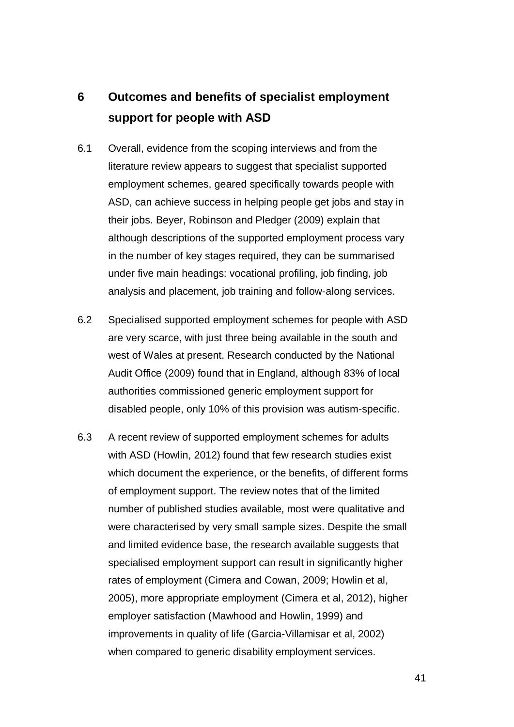# <span id="page-42-0"></span>**6 Outcomes and benefits of specialist employment support for people with ASD**

- 6.1 Overall, evidence from the scoping interviews and from the literature review appears to suggest that specialist supported employment schemes, geared specifically towards people with ASD, can achieve success in helping people get jobs and stay in their jobs. Beyer, Robinson and Pledger (2009) explain that although descriptions of the supported employment process vary in the number of key stages required, they can be summarised under five main headings: vocational profiling, job finding, job analysis and placement, job training and follow-along services.
- 6.2 Specialised supported employment schemes for people with ASD are very scarce, with just three being available in the south and west of Wales at present. Research conducted by the National Audit Office (2009) found that in England, although 83% of local authorities commissioned generic employment support for disabled people, only 10% of this provision was autism-specific.
- 6.3 A recent review of supported employment schemes for adults with ASD (Howlin, 2012) found that few research studies exist which document the experience, or the benefits, of different forms of employment support. The review notes that of the limited number of published studies available, most were qualitative and were characterised by very small sample sizes. Despite the small and limited evidence base, the research available suggests that specialised employment support can result in significantly higher rates of employment (Cimera and Cowan, 2009; Howlin et al, 2005), more appropriate employment (Cimera et al, 2012), higher employer satisfaction (Mawhood and Howlin, 1999) and improvements in quality of life (Garcia-Villamisar et al, 2002) when compared to generic disability employment services.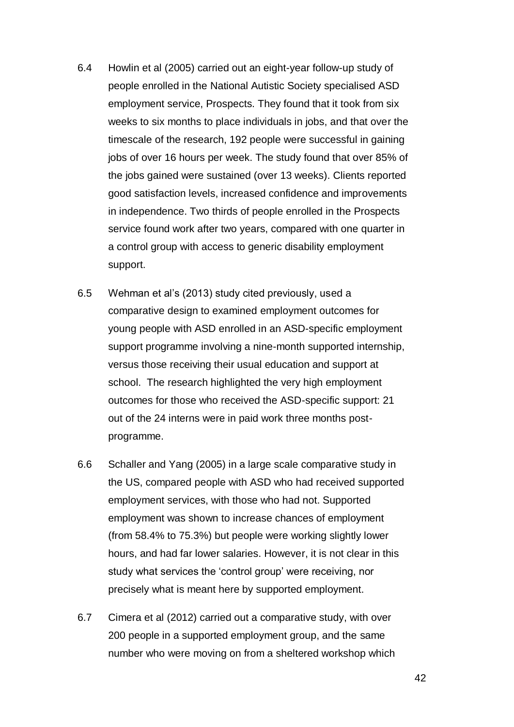- 6.4 Howlin et al (2005) carried out an eight-year follow-up study of people enrolled in the National Autistic Society specialised ASD employment service, Prospects. They found that it took from six weeks to six months to place individuals in jobs, and that over the timescale of the research, 192 people were successful in gaining jobs of over 16 hours per week. The study found that over 85% of the jobs gained were sustained (over 13 weeks). Clients reported good satisfaction levels, increased confidence and improvements in independence. Two thirds of people enrolled in the Prospects service found work after two years, compared with one quarter in a control group with access to generic disability employment support.
- 6.5 Wehman et al's (2013) study cited previously, used a comparative design to examined employment outcomes for young people with ASD enrolled in an ASD-specific employment support programme involving a nine-month supported internship, versus those receiving their usual education and support at school. The research highlighted the very high employment outcomes for those who received the ASD-specific support: 21 out of the 24 interns were in paid work three months postprogramme.
- 6.6 Schaller and Yang (2005) in a large scale comparative study in the US, compared people with ASD who had received supported employment services, with those who had not. Supported employment was shown to increase chances of employment (from 58.4% to 75.3%) but people were working slightly lower hours, and had far lower salaries. However, it is not clear in this study what services the 'control group' were receiving, nor precisely what is meant here by supported employment.
- 6.7 Cimera et al (2012) carried out a comparative study, with over 200 people in a supported employment group, and the same number who were moving on from a sheltered workshop which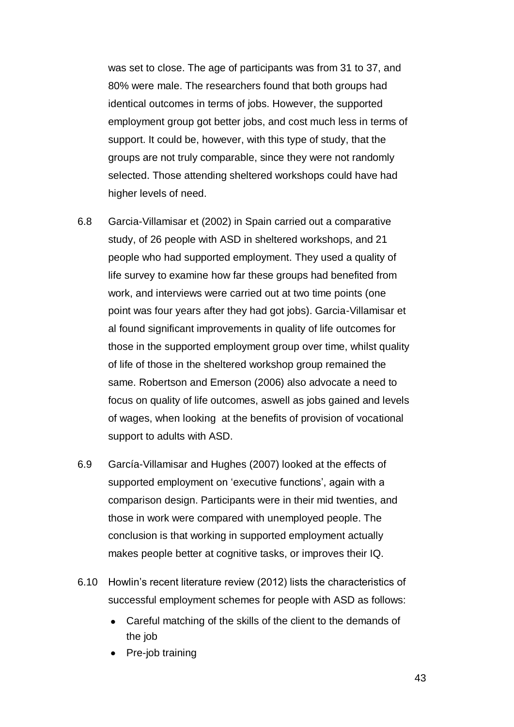was set to close. The age of participants was from 31 to 37, and 80% were male. The researchers found that both groups had identical outcomes in terms of jobs. However, the supported employment group got better jobs, and cost much less in terms of support. It could be, however, with this type of study, that the groups are not truly comparable, since they were not randomly selected. Those attending sheltered workshops could have had higher levels of need.

- 6.8 Garcia-Villamisar et (2002) in Spain carried out a comparative study, of 26 people with ASD in sheltered workshops, and 21 people who had supported employment. They used a quality of life survey to examine how far these groups had benefited from work, and interviews were carried out at two time points (one point was four years after they had got jobs). Garcia-Villamisar et al found significant improvements in quality of life outcomes for those in the supported employment group over time, whilst quality of life of those in the sheltered workshop group remained the same. Robertson and Emerson (2006) also advocate a need to focus on quality of life outcomes, aswell as jobs gained and levels of wages, when looking at the benefits of provision of vocational support to adults with ASD.
- 6.9 García-Villamisar and Hughes (2007) looked at the effects of supported employment on 'executive functions', again with a comparison design. Participants were in their mid twenties, and those in work were compared with unemployed people. The conclusion is that working in supported employment actually makes people better at cognitive tasks, or improves their IQ.
- 6.10 Howlin's recent literature review (2012) lists the characteristics of successful employment schemes for people with ASD as follows:
	- Careful matching of the skills of the client to the demands of the job
	- Pre-job training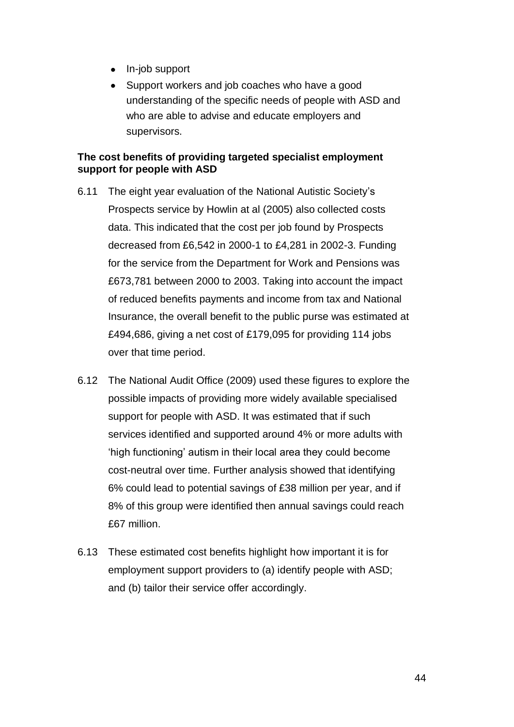- In-job support
- Support workers and job coaches who have a good understanding of the specific needs of people with ASD and who are able to advise and educate employers and supervisors.

#### **The cost benefits of providing targeted specialist employment support for people with ASD**

- 6.11 The eight year evaluation of the National Autistic Society's Prospects service by Howlin at al (2005) also collected costs data. This indicated that the cost per job found by Prospects decreased from £6,542 in 2000-1 to £4,281 in 2002-3. Funding for the service from the Department for Work and Pensions was £673,781 between 2000 to 2003. Taking into account the impact of reduced benefits payments and income from tax and National Insurance, the overall benefit to the public purse was estimated at £494,686, giving a net cost of £179,095 for providing 114 jobs over that time period.
- 6.12 The National Audit Office (2009) used these figures to explore the possible impacts of providing more widely available specialised support for people with ASD. It was estimated that if such services identified and supported around 4% or more adults with 'high functioning' autism in their local area they could become cost-neutral over time. Further analysis showed that identifying 6% could lead to potential savings of £38 million per year, and if 8% of this group were identified then annual savings could reach £67 million.
- 6.13 These estimated cost benefits highlight how important it is for employment support providers to (a) identify people with ASD; and (b) tailor their service offer accordingly.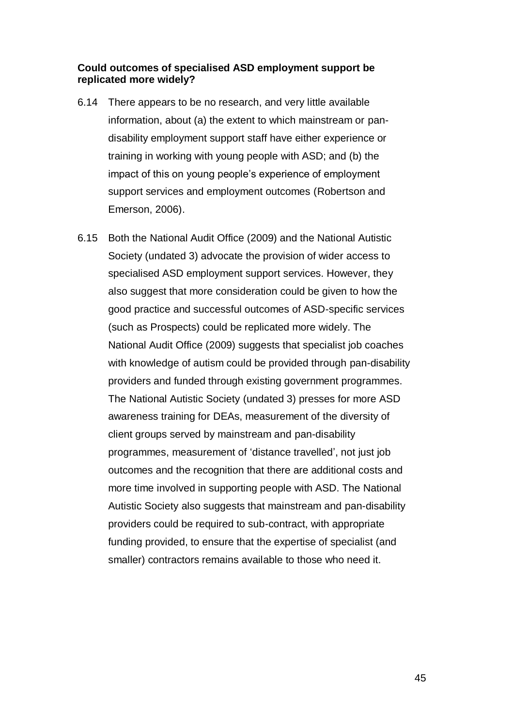#### **Could outcomes of specialised ASD employment support be replicated more widely?**

- 6.14 There appears to be no research, and very little available information, about (a) the extent to which mainstream or pandisability employment support staff have either experience or training in working with young people with ASD; and (b) the impact of this on young people's experience of employment support services and employment outcomes (Robertson and Emerson, 2006).
- 6.15 Both the National Audit Office (2009) and the National Autistic Society (undated 3) advocate the provision of wider access to specialised ASD employment support services. However, they also suggest that more consideration could be given to how the good practice and successful outcomes of ASD-specific services (such as Prospects) could be replicated more widely. The National Audit Office (2009) suggests that specialist job coaches with knowledge of autism could be provided through pan-disability providers and funded through existing government programmes. The National Autistic Society (undated 3) presses for more ASD awareness training for DEAs, measurement of the diversity of client groups served by mainstream and pan-disability programmes, measurement of 'distance travelled', not just job outcomes and the recognition that there are additional costs and more time involved in supporting people with ASD. The National Autistic Society also suggests that mainstream and pan-disability providers could be required to sub-contract, with appropriate funding provided, to ensure that the expertise of specialist (and smaller) contractors remains available to those who need it.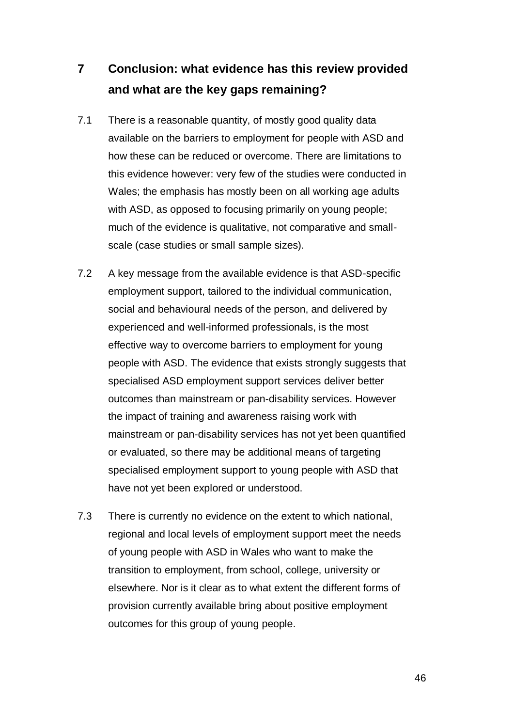# <span id="page-47-0"></span>**7 Conclusion: what evidence has this review provided and what are the key gaps remaining?**

- 7.1 There is a reasonable quantity, of mostly good quality data available on the barriers to employment for people with ASD and how these can be reduced or overcome. There are limitations to this evidence however: very few of the studies were conducted in Wales; the emphasis has mostly been on all working age adults with ASD, as opposed to focusing primarily on young people; much of the evidence is qualitative, not comparative and smallscale (case studies or small sample sizes).
- 7.2 A key message from the available evidence is that ASD-specific employment support, tailored to the individual communication, social and behavioural needs of the person, and delivered by experienced and well-informed professionals, is the most effective way to overcome barriers to employment for young people with ASD. The evidence that exists strongly suggests that specialised ASD employment support services deliver better outcomes than mainstream or pan-disability services. However the impact of training and awareness raising work with mainstream or pan-disability services has not yet been quantified or evaluated, so there may be additional means of targeting specialised employment support to young people with ASD that have not yet been explored or understood.
- 7.3 There is currently no evidence on the extent to which national, regional and local levels of employment support meet the needs of young people with ASD in Wales who want to make the transition to employment, from school, college, university or elsewhere. Nor is it clear as to what extent the different forms of provision currently available bring about positive employment outcomes for this group of young people.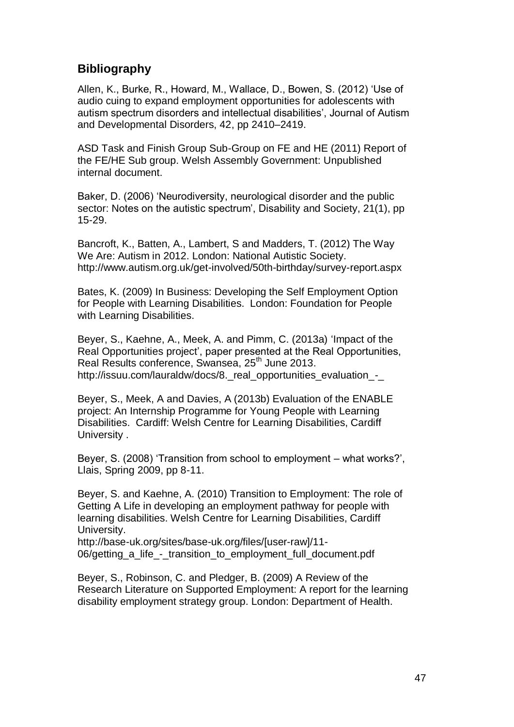## <span id="page-48-0"></span>**Bibliography**

Allen, K., Burke, R., Howard, M., Wallace, D., Bowen, S. (2012) 'Use of audio cuing to expand employment opportunities for adolescents with autism spectrum disorders and intellectual disabilities', Journal of Autism and Developmental Disorders, 42, pp 2410–2419.

ASD Task and Finish Group Sub-Group on FE and HE (2011) Report of the FE/HE Sub group. Welsh Assembly Government: Unpublished internal document.

Baker, D. (2006) 'Neurodiversity, neurological disorder and the public sector: Notes on the autistic spectrum', Disability and Society, 21(1), pp. 15-29.

Bancroft, K., Batten, A., Lambert, S and Madders, T. (2012) The Way We Are: Autism in 2012. London: National Autistic Society. http://www.autism.org.uk/get-involved/50th-birthday/survey-report.aspx

Bates, K. (2009) In Business: Developing the Self Employment Option for People with Learning Disabilities. London: Foundation for People with Learning Disabilities.

Beyer, S., Kaehne, A., Meek, A. and Pimm, C. (2013a) 'Impact of the Real Opportunities project', paper presented at the Real Opportunities, Real Results conference, Swansea, 25<sup>th</sup> June 2013. http://issuu.com/lauraldw/docs/8. real\_opportunities\_evaluation\_-

Beyer, S., Meek, A and Davies, A (2013b) Evaluation of the ENABLE project: An Internship Programme for Young People with Learning Disabilities. Cardiff: Welsh Centre for Learning Disabilities, Cardiff University .

Beyer, S. (2008) 'Transition from school to employment – what works?', Llais, Spring 2009, pp 8-11.

Beyer, S. and Kaehne, A. (2010) Transition to Employment: The role of Getting A Life in developing an employment pathway for people with learning disabilities. Welsh Centre for Learning Disabilities, Cardiff University.

http://base-uk.org/sites/base-uk.org/files/[user-raw]/11- 06/getting a life - transition to employment full document.pdf

Beyer, S., Robinson, C. and Pledger, B. (2009) A Review of the Research Literature on Supported Employment: A report for the learning disability employment strategy group. London: Department of Health.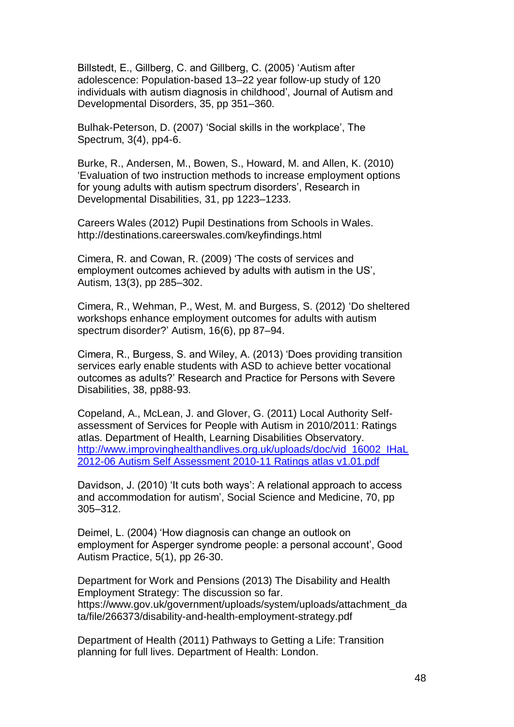Billstedt, E., Gillberg, C. and Gillberg, C. (2005) 'Autism after adolescence: Population-based 13–22 year follow-up study of 120 individuals with autism diagnosis in childhood', Journal of Autism and Developmental Disorders, 35, pp 351–360.

Bulhak-Peterson, D. (2007) 'Social skills in the workplace', The Spectrum, 3(4), pp4-6.

Burke, R., Andersen, M., Bowen, S., Howard, M. and Allen, K. (2010) 'Evaluation of two instruction methods to increase employment options for young adults with autism spectrum disorders', Research in Developmental Disabilities, 31, pp 1223–1233.

Careers Wales (2012) Pupil Destinations from Schools in Wales. http://destinations.careerswales.com/keyfindings.html

Cimera, R. and Cowan, R. (2009) 'The costs of services and employment outcomes achieved by adults with autism in the US', Autism, 13(3), pp 285–302.

Cimera, R., Wehman, P., West, M. and Burgess, S. (2012) 'Do sheltered workshops enhance employment outcomes for adults with autism spectrum disorder?' Autism, 16(6), pp 87–94.

Cimera, R., Burgess, S. and Wiley, A. (2013) 'Does providing transition services early enable students with ASD to achieve better vocational outcomes as adults?' Research and Practice for Persons with Severe Disabilities, 38, pp88-93.

Copeland, A., McLean, J. and Glover, G. (2011) Local Authority Selfassessment of Services for People with Autism in 2010/2011: Ratings atlas. Department of Health, Learning Disabilities Observatory. [http://www.improvinghealthandlives.org.uk/uploads/doc/vid\\_16002\\_IHaL](http://www.improvinghealthandlives.org.uk/uploads/doc/vid_16002_IHaL%202012-06%20Autism%20Self%20Assessment%202010-11%20Ratings%20atlas%20v1.01.pdf) 2012-06 Autism Self [Assessment](http://www.improvinghealthandlives.org.uk/uploads/doc/vid_16002_IHaL%202012-06%20Autism%20Self%20Assessment%202010-11%20Ratings%20atlas%20v1.01.pdf) 2010-11 Ratings atlas v1.01.pdf

Davidson, J. (2010) 'It cuts both ways': A relational approach to access and accommodation for autism', Social Science and Medicine, 70, pp 305–312.

Deimel, L. (2004) 'How diagnosis can change an outlook on employment for Asperger syndrome people: a personal account', Good Autism Practice, 5(1), pp 26-30.

Department for Work and Pensions (2013) The Disability and Health Employment Strategy: The discussion so far. https://www.gov.uk/government/uploads/system/uploads/attachment\_da ta/file/266373/disability-and-health-employment-strategy.pdf

Department of Health (2011) Pathways to Getting a Life: Transition planning for full lives. Department of Health: London.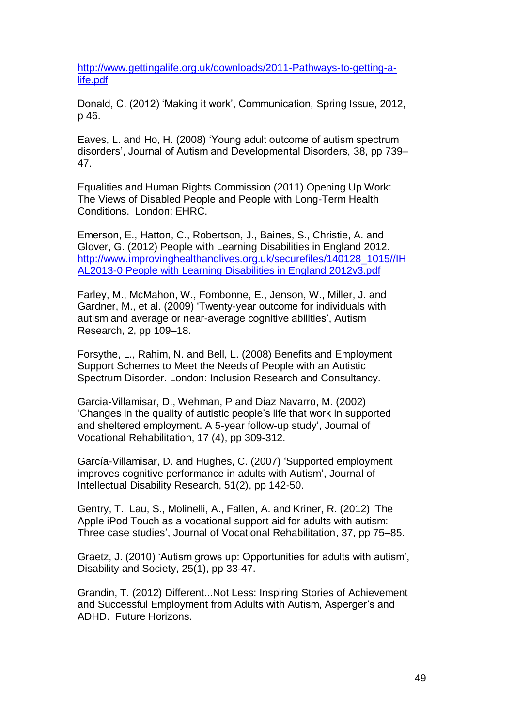http://www.gettingalife.org.uk/downloads/2011-Pathways-to-getting-alife.pdf

Donald, C. (2012) 'Making it work', Communication, Spring Issue, 2012, p 46.

Eaves, L. and Ho, H. (2008) 'Young adult outcome of autism spectrum disorders', Journal of Autism and Developmental Disorders, 38, pp 739– 47.

Equalities and Human Rights Commission (2011) Opening Up Work: The Views of Disabled People and People with Long-Term Health Conditions. London: EHRC.

Emerson, E., Hatton, C., Robertson, J., Baines, S., Christie, A. and Glover, G. (2012) People with Learning Disabilities in England 2012. [http://www.improvinghealthandlives.org.uk/securefiles/140128\\_1015//IH](http://www.improvinghealthandlives.org.uk/securefiles/140128_1015/IHAL2013-0%20People) [AL2013-0](http://www.improvinghealthandlives.org.uk/securefiles/140128_1015/IHAL2013-0%20People) People with Learning Disabilities in England 2012v3.pdf

Farley, M., McMahon, W., Fombonne, E., Jenson, W., Miller, J. and Gardner, M., et al. (2009) 'Twenty-year outcome for individuals with autism and average or near-average cognitive abilities', Autism Research, 2, pp 109–18.

Forsythe, L., Rahim, N. and Bell, L. (2008) Benefits and Employment Support Schemes to Meet the Needs of People with an Autistic Spectrum Disorder. London: Inclusion Research and Consultancy.

Garcia-Villamisar, D., Wehman, P and Diaz Navarro, M. (2002) 'Changes in the quality of autistic people's life that work in supported and sheltered employment. A 5-year follow-up study', Journal of Vocational Rehabilitation, 17 (4), pp 309-312.

García-Villamisar, D. and Hughes, C. (2007) 'Supported employment improves cognitive performance in adults with Autism', Journal of Intellectual Disability Research, 51(2), pp 142-50.

Gentry, T., Lau, S., Molinelli, A., Fallen, A. and Kriner, R. (2012) 'The Apple iPod Touch as a vocational support aid for adults with autism: Three case studies', Journal of Vocational Rehabilitation, 37, pp 75–85.

Graetz, J. (2010) 'Autism grows up: Opportunities for adults with autism', Disability and Society, 25(1), pp 33-47.

Grandin, T. (2012) Different...Not Less: Inspiring Stories of Achievement and Successful Employment from Adults with Autism, Asperger's and ADHD. Future Horizons.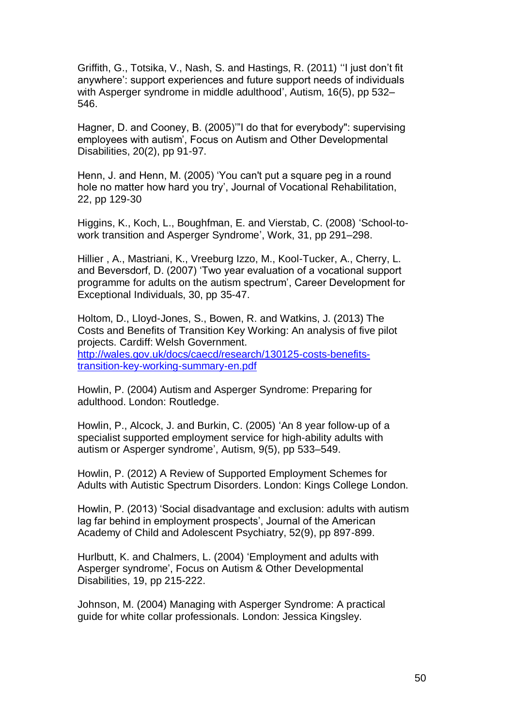Griffith, G., Totsika, V., Nash, S. and Hastings, R. (2011) ''I just don't fit anywhere': support experiences and future support needs of individuals with Asperger syndrome in middle adulthood', Autism, 16(5), pp 532– 546.

Hagner, D. and Cooney, B. (2005)'"I do that for everybody": supervising employees with autism', Focus on Autism and Other Developmental Disabilities, 20(2), pp 91-97.

Henn, J. and Henn, M. (2005) 'You can't put a square peg in a round hole no matter how hard you try', Journal of Vocational Rehabilitation, 22, pp 129-30

Higgins, K., Koch, L., Boughfman, E. and Vierstab, C. (2008) 'School-towork transition and Asperger Syndrome', Work, 31, pp 291–298.

Hillier , A., Mastriani, K., Vreeburg Izzo, M., Kool-Tucker, A., Cherry, L. and Beversdorf, D. (2007) 'Two year evaluation of a vocational support programme for adults on the autism spectrum', Career Development for Exceptional Individuals, 30, pp 35-47.

Holtom, D., Lloyd-Jones, S., Bowen, R. and Watkins, J. (2013) The Costs and Benefits of Transition Key Working: An analysis of five pilot projects. Cardiff: Welsh Government. [http://wales.gov.uk/docs/caecd/research/130125-costs-benefits](http://wales.gov.uk/docs/caecd/research/130125-costs-benefits-transition-key-working-summary-en.pdf)[transition-key-working-summary-en.pdf](http://wales.gov.uk/docs/caecd/research/130125-costs-benefits-transition-key-working-summary-en.pdf)

Howlin, P. (2004) Autism and Asperger Syndrome: Preparing for adulthood. London: Routledge.

Howlin, P., Alcock, J. and Burkin, C. (2005) 'An 8 year follow-up of a specialist supported employment service for high-ability adults with autism or Asperger syndrome', Autism, 9(5), pp 533–549.

Howlin, P. (2012) A Review of Supported Employment Schemes for Adults with Autistic Spectrum Disorders. London: Kings College London.

Howlin, P. (2013) 'Social disadvantage and exclusion: adults with autism lag far behind in employment prospects', Journal of the American Academy of Child and Adolescent Psychiatry, 52(9), pp 897-899.

Hurlbutt, K. and Chalmers, L. (2004) 'Employment and adults with Asperger syndrome', Focus on Autism & Other Developmental Disabilities, 19, pp 215-222.

Johnson, M. (2004) Managing with Asperger Syndrome: A practical guide for white collar professionals. London: Jessica Kingsley.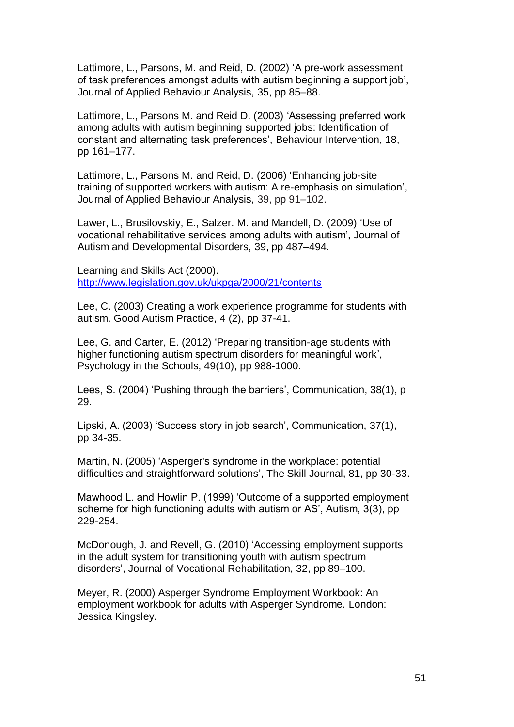Lattimore, L., Parsons, M. and Reid, D. (2002) 'A pre-work assessment of task preferences amongst adults with autism beginning a support job', Journal of Applied Behaviour Analysis, 35, pp 85–88.

Lattimore, L., Parsons M. and Reid D. (2003) 'Assessing preferred work among adults with autism beginning supported jobs: Identification of constant and alternating task preferences', Behaviour Intervention, 18, pp 161–177.

Lattimore, L., Parsons M. and Reid, D. (2006) 'Enhancing job-site training of supported workers with autism: A re-emphasis on simulation', Journal of Applied Behaviour Analysis, 39, pp 91–102.

Lawer, L., Brusilovskiy, E., Salzer. M. and Mandell, D. (2009) 'Use of vocational rehabilitative services among adults with autism', Journal of Autism and Developmental Disorders, 39, pp 487–494.

Learning and Skills Act (2000). <http://www.legislation.gov.uk/ukpga/2000/21/contents>

Lee, C. (2003) Creating a work experience programme for students with autism. Good Autism Practice, 4 (2), pp 37-41.

Lee, G. and Carter, E. (2012) 'Preparing transition-age students with higher functioning autism spectrum disorders for meaningful work', Psychology in the Schools, 49(10), pp 988-1000.

Lees, S. (2004) 'Pushing through the barriers', Communication, 38(1), p 29.

Lipski, A. (2003) 'Success story in job search', Communication, 37(1), pp 34-35.

Martin, N. (2005) 'Asperger's syndrome in the workplace: potential difficulties and straightforward solutions', The Skill Journal, 81, pp 30-33.

Mawhood L. and Howlin P. (1999) 'Outcome of a supported employment scheme for high functioning adults with autism or AS', Autism, 3(3), pp 229-254.

McDonough, J. and Revell, G. (2010) 'Accessing employment supports in the adult system for transitioning youth with autism spectrum disorders', Journal of Vocational Rehabilitation, 32, pp 89–100.

Meyer, R. (2000) Asperger Syndrome Employment Workbook: An employment workbook for adults with Asperger Syndrome. London: Jessica Kingsley.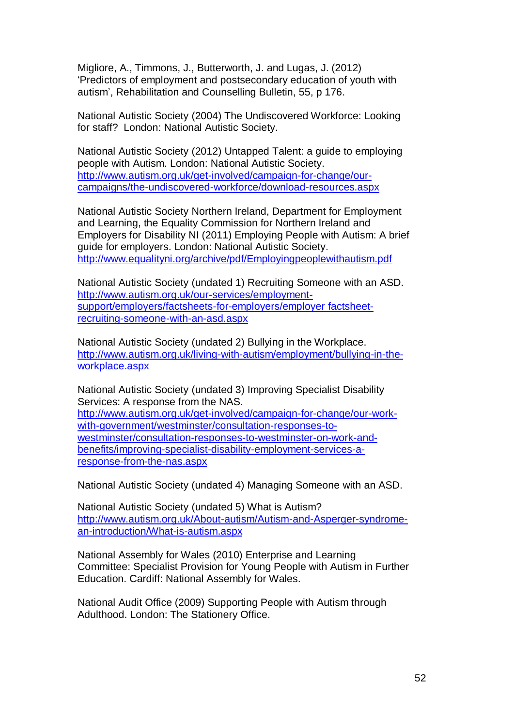Migliore, A., Timmons, J., Butterworth, J. and Lugas, J. (2012) 'Predictors of employment and postsecondary education of youth with autism', Rehabilitation and Counselling Bulletin, 55, p 176.

National Autistic Society (2004) The Undiscovered Workforce: Looking for staff? London: National Autistic Society.

National Autistic Society (2012) Untapped Talent: a guide to employing people with Autism. London: National Autistic Society. [http://www.autism.org.uk/get-involved/campaign-for-change/our](http://www.autism.org.uk/get-involved/campaign-for-change/our-campaigns/the-undiscovered-workforce/download-resources.aspx)[campaigns/the-undiscovered-workforce/download-resources.aspx](http://www.autism.org.uk/get-involved/campaign-for-change/our-campaigns/the-undiscovered-workforce/download-resources.aspx)

National Autistic Society Northern Ireland, Department for Employment and Learning, the Equality Commission for Northern Ireland and Employers for Disability NI (2011) Employing People with Autism: A brief guide for employers. London: National Autistic Society. <http://www.equalityni.org/archive/pdf/Employingpeoplewithautism.pdf>

National Autistic Society (undated 1) Recruiting Someone with an ASD. [http://www.autism.org.uk/our-services/employment](http://www.autism.org.uk/our-services/employment-support/employers/factsheets-for-employers/employer%20factsheet-recruiting-someone-with-an-asd.aspx)[support/employers/factsheets-for-employers/employer](http://www.autism.org.uk/our-services/employment-support/employers/factsheets-for-employers/employer%20factsheet-recruiting-someone-with-an-asd.aspx) factsheet[recruiting-someone-with-an-asd.aspx](http://www.autism.org.uk/our-services/employment-support/employers/factsheets-for-employers/employer%20factsheet-recruiting-someone-with-an-asd.aspx)

National Autistic Society (undated 2) Bullying in the Workplace. [http://www.autism.org.uk/living-with-autism/employment/bullying-in-the](http://www.autism.org.uk/living-with-autism/employment/bullying-in-the-workplace.aspx)[workplace.aspx](http://www.autism.org.uk/living-with-autism/employment/bullying-in-the-workplace.aspx)

National Autistic Society (undated 3) Improving Specialist Disability Services: A response from the NAS.

[http://www.autism.org.uk/get-involved/campaign-for-change/our-work](http://www.autism.org.uk/get-involved/campaign-for-change/our-work-with-government/westminster/consultation-responses-to-westminster/consultation-responses-to-westminster-on-work-and-benefits/improving-specialist-disability-employment-services-a-response-from-the-nas.aspx)[with-government/westminster/consultation-responses-to](http://www.autism.org.uk/get-involved/campaign-for-change/our-work-with-government/westminster/consultation-responses-to-westminster/consultation-responses-to-westminster-on-work-and-benefits/improving-specialist-disability-employment-services-a-response-from-the-nas.aspx)[westminster/consultation-responses-to-westminster-on-work-and](http://www.autism.org.uk/get-involved/campaign-for-change/our-work-with-government/westminster/consultation-responses-to-westminster/consultation-responses-to-westminster-on-work-and-benefits/improving-specialist-disability-employment-services-a-response-from-the-nas.aspx)[benefits/improving-specialist-disability-employment-services-a](http://www.autism.org.uk/get-involved/campaign-for-change/our-work-with-government/westminster/consultation-responses-to-westminster/consultation-responses-to-westminster-on-work-and-benefits/improving-specialist-disability-employment-services-a-response-from-the-nas.aspx)[response-from-the-nas.aspx](http://www.autism.org.uk/get-involved/campaign-for-change/our-work-with-government/westminster/consultation-responses-to-westminster/consultation-responses-to-westminster-on-work-and-benefits/improving-specialist-disability-employment-services-a-response-from-the-nas.aspx)

National Autistic Society (undated 4) Managing Someone with an ASD.

National Autistic Society (undated 5) What is Autism? http://www.autism.org.uk/About-autism/Autism-and-Asperger-syndromean-introduction/What-is-autism.aspx

National Assembly for Wales (2010) Enterprise and Learning Committee: Specialist Provision for Young People with Autism in Further Education. Cardiff: National Assembly for Wales.

National Audit Office (2009) Supporting People with Autism through Adulthood. London: The Stationery Office.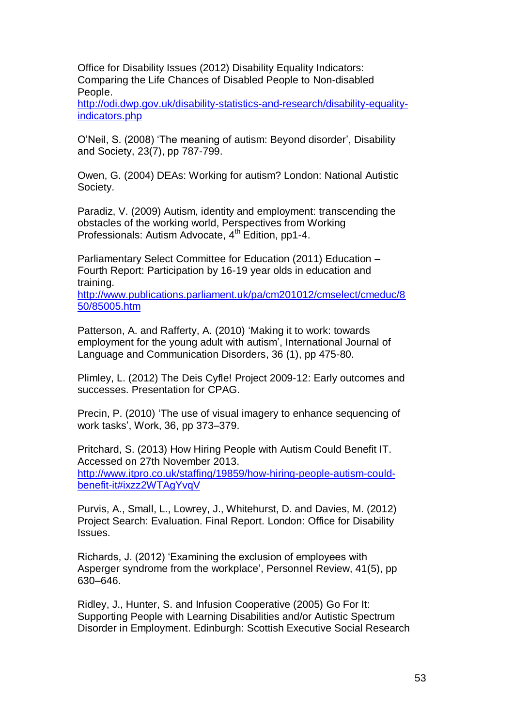Office for Disability Issues (2012) Disability Equality Indicators: Comparing the Life Chances of Disabled People to Non-disabled People.

[http://odi.dwp.gov.uk/disability-statistics-and-research/disability-equality](http://odi.dwp.gov.uk/disability-statistics-and-research/disability-equality-indicators.php)[indicators.php](http://odi.dwp.gov.uk/disability-statistics-and-research/disability-equality-indicators.php)

O'Neil, S. (2008) 'The meaning of autism: Beyond disorder', Disability and Society, 23(7), pp 787-799.

Owen, G. (2004) DEAs: Working for autism? London: National Autistic Society.

Paradiz, V. (2009) Autism, identity and employment: transcending the obstacles of the working world, Perspectives from Working Professionals: Autism Advocate, 4<sup>th</sup> Edition, pp1-4.

Parliamentary Select Committee for Education (2011) Education – Fourth Report: Participation by 16-19 year olds in education and training.

[http://www.publications.parliament.uk/pa/cm201012/cmselect/cmeduc/8](http://www.publications.parliament.uk/pa/cm201012/cmselect/cmeduc/850/85005.htm) [50/85005.htm](http://www.publications.parliament.uk/pa/cm201012/cmselect/cmeduc/850/85005.htm)

Patterson, A. and Rafferty, A. (2010) 'Making it to work: towards employment for the young adult with autism', International Journal of Language and Communication Disorders, 36 (1), pp 475-80.

Plimley, L. (2012) The Deis Cyfle! Project 2009-12: Early outcomes and successes. Presentation for CPAG.

Precin, P. (2010) 'The use of visual imagery to enhance sequencing of work tasks', Work, 36, pp 373–379.

Pritchard, S. (2013) How Hiring People with Autism Could Benefit IT. Accessed on 27th November 2013. http://www.itpro.co.uk/staffing/19859/how-hiring-people-autism-couldbenefit-it#ixzz2WTAgYvqV

Purvis, A., Small, L., Lowrey, J., Whitehurst, D. and Davies, M. (2012) Project Search: Evaluation. Final Report. London: Office for Disability Issues.

Richards, J. (2012) 'Examining the exclusion of employees with Asperger syndrome from the workplace', Personnel Review, 41(5), pp 630–646.

Ridley, J., Hunter, S. and Infusion Cooperative (2005) Go For It: Supporting People with Learning Disabilities and/or Autistic Spectrum Disorder in Employment. Edinburgh: Scottish Executive Social Research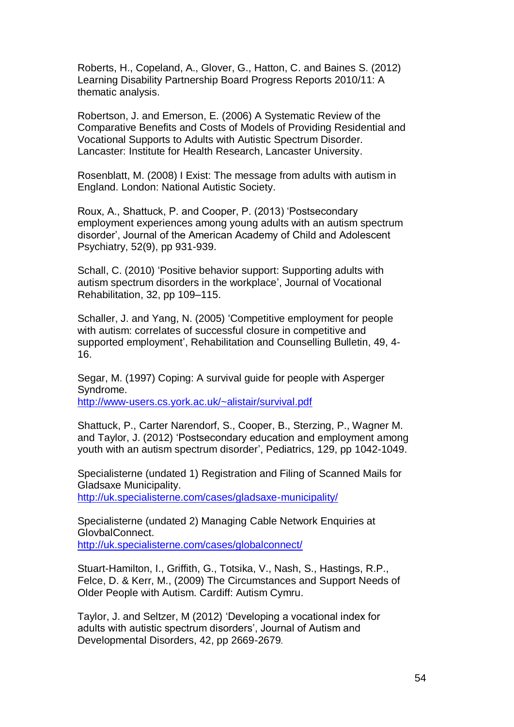Roberts, H., Copeland, A., Glover, G., Hatton, C. and Baines S. (2012) Learning Disability Partnership Board Progress Reports 2010/11: A thematic analysis.

Robertson, J. and Emerson, E. (2006) A Systematic Review of the Comparative Benefits and Costs of Models of Providing Residential and Vocational Supports to Adults with Autistic Spectrum Disorder. Lancaster: Institute for Health Research, Lancaster University.

Rosenblatt, M. (2008) I Exist: The message from adults with autism in England. London: National Autistic Society.

Roux, A., Shattuck, P. and Cooper, P. (2013) 'Postsecondary employment experiences among young adults with an autism spectrum disorder', Journal of the American Academy of Child and Adolescent Psychiatry, 52(9), pp 931-939.

Schall, C. (2010) 'Positive behavior support: Supporting adults with autism spectrum disorders in the workplace', Journal of Vocational Rehabilitation, 32, pp 109–115.

Schaller, J. and Yang, N. (2005) 'Competitive employment for people with autism: correlates of successful closure in competitive and supported employment', Rehabilitation and Counselling Bulletin, 49, 4- 16.

Segar, M. (1997) Coping: A survival guide for people with Asperger Syndrome. <http://www-users.cs.york.ac.uk/~alistair/survival.pdf>

Shattuck, P., Carter Narendorf, S., Cooper, B., Sterzing, P., Wagner M. and Taylor, J. (2012) 'Postsecondary education and employment among youth with an autism spectrum disorder', Pediatrics, 129, pp 1042-1049.

Specialisterne (undated 1) Registration and Filing of Scanned Mails for Gladsaxe Municipality. http://uk.specialisterne.com/cases/gladsaxe-municipality/

Specialisterne (undated 2) Managing Cable Network Enquiries at GlovbalConnect. <http://uk.specialisterne.com/cases/globalconnect/>

Stuart-Hamilton, I., Griffith, G., Totsika, V., Nash, S., Hastings, R.P., Felce, D. & Kerr, M., (2009) The Circumstances and Support Needs of Older People with Autism. Cardiff: Autism Cymru.

Taylor, J. and Seltzer, M (2012) 'Developing a vocational index for adults with autistic spectrum disorders', Journal of Autism and Developmental Disorders, 42, pp 2669-2679*.*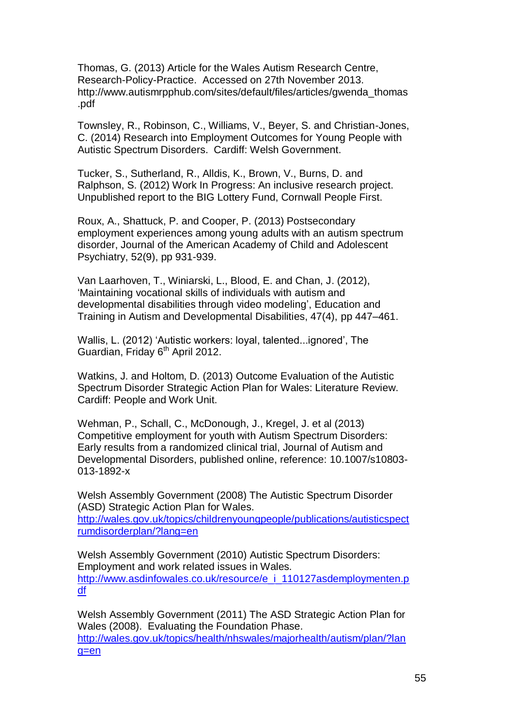Thomas, G. (2013) Article for the Wales Autism Research Centre, Research-Policy-Practice. Accessed on 27th November 2013. [http://www.autismrpphub.com/sites/default/files/articles/gwenda\\_thomas](http://www.autismrpphub.com/sites/default/files/articles/gwenda_thomas.pdf) [.pdf](http://www.autismrpphub.com/sites/default/files/articles/gwenda_thomas.pdf)

Townsley, R., Robinson, C., Williams, V., Beyer, S. and Christian-Jones, C. (2014) Research into Employment Outcomes for Young People with Autistic Spectrum Disorders. Cardiff: Welsh Government.

Tucker, S., Sutherland, R., Alldis, K., Brown, V., Burns, D. and Ralphson, S. (2012) Work In Progress: An inclusive research project. Unpublished report to the BIG Lottery Fund, Cornwall People First.

Roux, A., Shattuck, P. and Cooper, P. (2013) Postsecondary employment experiences among young adults with an autism spectrum disorder, Journal of the American Academy of Child and Adolescent Psychiatry, 52(9), pp 931-939.

Van Laarhoven, T., Winiarski, L., Blood, E. and Chan, J. (2012), 'Maintaining vocational skills of individuals with autism and developmental disabilities through video modeling', Education and Training in Autism and Developmental Disabilities, 47(4), pp 447–461.

Wallis, L. (2012) 'Autistic workers: loyal, talented...ignored', The Guardian, Friday  $6<sup>th</sup>$  April 2012.

Watkins, J. and Holtom, D. (2013) Outcome Evaluation of the Autistic Spectrum Disorder Strategic Action Plan for Wales: Literature Review. Cardiff: People and Work Unit.

Wehman, P., Schall, C., McDonough, J., Kregel, J. et al (2013) Competitive employment for youth with Autism Spectrum Disorders: Early results from a randomized clinical trial, Journal of Autism and Developmental Disorders, published online, reference: 10.1007/s10803- 013-1892-x

Welsh Assembly Government (2008) The Autistic Spectrum Disorder (ASD) Strategic Action Plan for Wales. [http://wales.gov.uk/topics/childrenyoungpeople/publications/autisticspect](http://wales.gov.uk/topics/childrenyoungpeople/publications/autisticspectrumdisorderplan/?lang=en) [rumdisorderplan/?lang=en](http://wales.gov.uk/topics/childrenyoungpeople/publications/autisticspectrumdisorderplan/?lang=en)

Welsh Assembly Government (2010) Autistic Spectrum Disorders: Employment and work related issues in Wales. [http://www.asdinfowales.co.uk/resource/e\\_i\\_110127asdemploymenten.p](http://www.asdinfowales.co.uk/resource/e_i_110127asdemploymenten.pdf) [df](http://www.asdinfowales.co.uk/resource/e_i_110127asdemploymenten.pdf)

Welsh Assembly Government (2011) The ASD Strategic Action Plan for Wales (2008). Evaluating the Foundation Phase. [http://wales.gov.uk/topics/health/nhswales/majorhealth/autism/plan/?lan](http://wales.gov.uk/topics/health/nhswales/majorhealth/autism/plan/?lang=en) [g=en](http://wales.gov.uk/topics/health/nhswales/majorhealth/autism/plan/?lang=en)